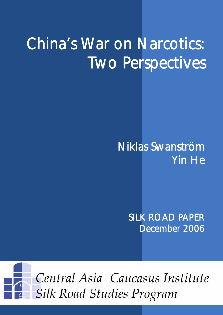# China's War on Narcotics: Two Perspectives

# Niklas Swanström Yin He

SILK ROAD PAPER December 2006

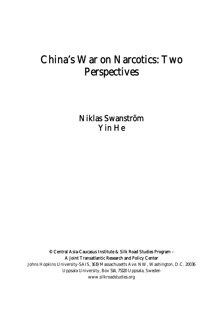# China's War on Narcotics: Two Perspectives

Niklas Swanström Yin He

© Central Asia-Caucasus Institute & Silk Road Studies Program – A Joint Transatlantic Research and Policy Center

Johns Hopkins University-SAIS, 1619 Massachusetts Ave. NW, Washington, D.C. 20036 Uppsala University, Box 514, 75120 Uppsala, Sweden www.silkroadstudies.org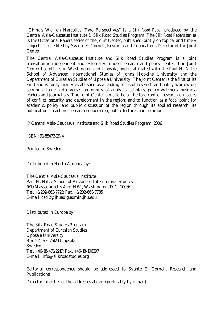"China's War on Narcotics: Two Perspectives" is a *Silk Road Paper* produced by the Central Asia-Caucasus Institute & Silk Road Studies Program. The *Silk Road Papers* series is the Occasional Papers series of the Joint Center, published jointly on topical and timely subjects. It is edited by Svante E. Cornell, Research and Publications Director of the Joint Center.

The Central Asia-Caucasus Institute and Silk Road Studies Program is a joint transatlantic independent and externally funded research and policy center. The Joint Center has offices in Washington and Uppsala, and is affiliated with the Paul H. Nitze School of Advanced International Studies of Johns Hopkins University and the Department of Eurasian Studies of Uppsala University. The Joint Center is the first of its kind and is today firmly established as a leading focus of research and policy worldwide, serving a large and diverse community of analysts, scholars, policy-watchers, business leaders and journalists. The Joint Center aims to be at the forefront of research on issues of conflict, security and development in the region; and to function as a focal point for academic, policy, and public discussion of the region through its applied research, its publications, teaching, research cooperation, public lectures and seminars.

© Central Asia-Caucasus Institute and Silk Road Studies Program, 2006

ISBN: 91-85473-29-4

Printed in Sweden

Distributed in North America by:

The Central Asia-Caucasus Institute Paul H. Nitze School of Advanced International Studies 1619 Massachusetts Ave. NW, Washington, D.C. 20036 Tel. +1-202-663-7723; Fax. +1-202-663-7785 E-mail: caci2@jhuadig.admin.jhu.edu

Distributed in Europe by:

The Silk Road Studies Program Department of Eurasian Studies Uppsala University Box 514, SE-75120 Uppsala Sweden Tel. +46-18-471-2217; Fax. +46-18-106397 E-mail: info@silkroadstudies.org

Editorial correspondence should be addressed to Svante E. Cornell, Research and Publications

Director, at either of the addresses above. (preferably by e-mail)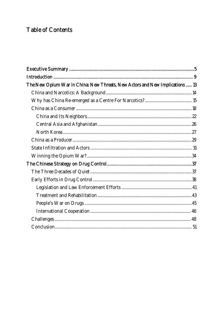# **Table of Contents**

| The New Opium War in China: New Threats, New Actors and New Implications  13 |  |
|------------------------------------------------------------------------------|--|
|                                                                              |  |
|                                                                              |  |
|                                                                              |  |
|                                                                              |  |
|                                                                              |  |
|                                                                              |  |
|                                                                              |  |
|                                                                              |  |
|                                                                              |  |
|                                                                              |  |
|                                                                              |  |
|                                                                              |  |
|                                                                              |  |
|                                                                              |  |
|                                                                              |  |
|                                                                              |  |
|                                                                              |  |
|                                                                              |  |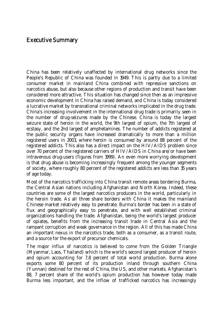#### Executive Summary

China has been relatively unaffected by international drug networks since the People's Republic of China was founded in 1949. This is partly due to a limited consumer market in mainland China combined with repressive sanctions on narcotics abuse, but also because other regions of production and transit have been considered more attractive. This situation has changed since then as an impressive economic development in China has raised demand, and China is today considered a lucrative market by transnational criminal networks implicated in the drug trade. China's increasing involvement in the international drug trade is primarily seen in the number of drug-seizures made by the Chinese. China is today the largest seizure state of heroin in the world, the 9th largest of opium, the 7th largest of ecstasy, and the 2nd largest of amphetamines. The number of addicts registered at the public security organs have increased dramatically to more than a million registered users in 2003, where heroin is consumed by around 88 percent of the registered addicts. This also has a direct impact on the HIV/AIDS problem since over 70 percent of the registered carriers of HIV/AIDS in China are/or have been intravenous drug-users (figures from 1999). An even more worrying development is that drug abuse is becoming increasingly frequent among the younger segments of society, where roughly 80 percent of the registered addicts are less than 35 years of age today.

Most of the narcotics trafficking into China transit remote areas bordering Burma, the Central Asian nations including Afghanistan and North Korea. Indeed, these countries are some of the largest narcotics producers in the world, particularly in the heroin trade. As all three share borders with China it makes the mainland Chinese market relatively easy to penetrate. Burma's border has been in a state of flux and geographically easy to penetrate, and with well established criminal organizations handling the trade. Afghanistan, being the world's largest producer of opiates, benefits from the increasing transit trade in Central Asia and the rampant corruption and weak governance in the region. All of this has made China an important nexus in the narcotics trade, both as a consumer, as a transit route, and a source for the export of precursor chemicals.

The major influx of narcotics is believed to come from the Golden Triangle (Myanmar, Laos, Thailand) which is the world's second largest producer of heroin and opium accounting for 7,8 percent of total world production. Burma alone exports some 80 percent of its production inland through southern China (Yunnan) destined for the rest of China, the US, and other markets. Afghanistan's 88, 7 percent share of the world's opium production has however today made Burma less important, and the inflow of trafficked narcotics has increasingly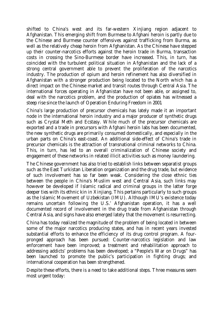shifted to China's west and its far-western Xinjiang region adjacent to Afghanistan. This emerging shift from Burmese to Afghani heroin is partly due to the Chinese and Burmese counter offensives against trafficking from Burma, as well as the relatively cheap heroin from Afghanistan. As the Chinese have stepped up their counter-narcotics efforts against the heroin trade in Burma, transaction costs in crossing the Sino-Burmese border have increased. This, in turn, has coincided with the turbulent political situation in Afghanistan and the lack of a strong central government able to prevent the proliferation of the narcotics industry. The production of opium and heroin refinement has also diversified in Afghanistan with a stronger production being located to the North which has a direct impact on the Chinese market and transit routes through Central Asia. The international forces operating in Afghanistan have not been able, or assigned to, deal with the narcotics problem, and the production of opiates has witnessed a steep rise since the launch of Operation Enduring Freedom in 2001.

China's large production of precursor chemicals has lately made it an important node in the international heroin industry and a major producer of synthetic drugs such as Crystal Meth and Ecstasy. While much of the precursor chemicals are exported and a trade in precursors with Afghani heroin labs has been documented, the new synthetic drugs are primarily consumed domestically, and especially in the urban parts on China's east-coast. An additional side-effect of China's trade in precursor chemicals is the attraction of transnational criminal networks to China. This, in turn, has led to an overall criminalization of Chinese society and engagement of these networks in related illicit activities such as money laundering.

The Chinese government has also tried to establish links between separatist groups such as the East Turkistan Liberation organization and the drug trade, but evidence of such involvement has so far been weak. Considering the close ethnic ties between the people in China's Muslim west and Central Asia, such links may however be developed if Islamic radical and criminal groups in the latter forge deeper ties with its ethnic kin in Xinjiang. This pertains particularly to such groups as the Islamic Movement of Uzbekistan (IMU). Although IMU's existence today remains uncertain following the U.S.' Afghanistan operation, it has a well documented record of involvement in the drug trade from Afghanistan through Central Asia, and signs have also emerged lately that the movement is resurrecting.

China has today realized the magnitude of the problem of being located in between some of the major narcotics producing states, and has in recent years invested substantial efforts to enhance the efficiency of its drug control program. A fourpronged approach has been pursued: Counter-narcotics legislation and law enforcement have been improved; a treatment and rehabilitation approach to addressing addicts' problems has been developed; a "People's War on Drugs" has been launched to promote the public's participation in fighting drugs; and international cooperation has been strengthened.

Despite these efforts, there is a need to take additional steps. Three measures seem most urgent today: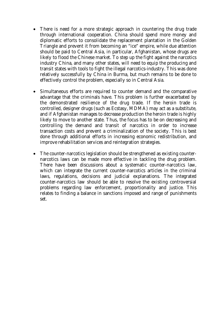- There is need for a more strategic approach in countering the drug trade through international cooperation. China should spend more money and diplomatic efforts to consolidate the replacement plantation in the Golden Triangle and prevent it from becoming an "ice" empire, while due attention should be paid to Central Asia, in particular, Afghanistan, whose drugs are likely to flood the Chinese market. To step up the fight against the narcotics industry China, and many other states, will need to equip the producing and transit states with tools to fight the illegal narcotics-industry. This was done relatively successfully by China in Burma, but much remains to be done to effectively control the problem, especially so in Central Asia.
- Simultaneous efforts are required to counter demand and the comparative advantage that the criminals have. This problem is further exacerbated by the demonstrated resilience of the drug trade. If the heroin trade is controlled, designer drugs (such as Ecstasy, MDMA) may act as a substitute, and if Afghanistan manages to decrease production the heroin trade is highly likely to move to another state. Thus, the focus has to be on decreasing and controlling the demand and transit of narcotics in order to increase transaction costs and prevent a criminalization of the society. This is best done through additional efforts in increasing economic redistribution, and improve rehabilitation services and reintegration strategies.
- The counter-narcotics legislation should be strengthened as existing counternarcotics laws can be made more effective in tackling the drug problem. There have been discussions about a systematic counter-narcotics law, which can integrate the current counter-narcotics articles in the criminal laws, regulations, decisions and judicial explanations. The integrated counter-narcotics law should be able to resolve the existing controversial problems regarding law enforcement, proportionality and justice. This relates to finding a balance in sanctions imposed and range of punishments set.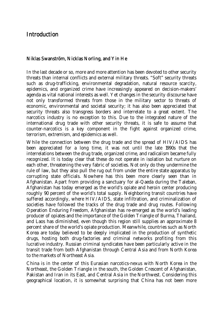## Introduction

#### Niklas Swanström, Nicklas Norling, and Yin He

In the last decade or so, more and more attention has been devoted to other security threats than internal conflicts and external military threats. "Soft" security threats such as drug-trafficking, environmental degradation, natural resource scarcity, epidemics, and organized crime have increasingly appeared on decision-makers' agenda as vital national interests as well. Yet changes in the security discourse have not only transformed threats from those in the military sector to threats of economic, environmental and societal security; it has also been appreciated that security threats also transgress borders and interrelate to a great extent. The narcotics industry is no exception to this. Due to the integrated nature of the international drug trade with other security threats, it is safe to assume that counter-narcotics is a key component in the fight against organized crime, terrorism, extremism, and epidemics as well.

While the connection between the drug trade and the spread of HIV/AIDS has been appreciated for a long time, it was not until the late 1990s that the interrelations between the drug trade, organized crime, and radicalism became fully recognized. It is today clear that these do not operate in isolation but nurture on each other, threatening the very fabric of societies. Not only do they undermine the rule of law, but they also pull the rug out from under the entire state apparatus by corrupting state officials. Nowhere has this been more clearly seen than in Afghanistan. Apart from providing a sanctuary for al-Qaeda during the Taleban, Afghanistan has today emerged as the world's opiate and heroin center producing roughly 90 percent of the world's total supply. Neighboring transit countries have suffered accordingly, where HIV/AIDS, state infiltration, and criminalization of societies have followed the tracks of the drug trade and drug routes. Following Operation Enduring Freedom, Afghanistan has re-emerged as the world's leading producer of opiates and the importance of the Golden Triangle of Burma, Thailand, and Laos has diminished, even though this region still supplies an approximate 8 percent share of the world's opiate production. Meanwhile, countries such as North Korea are today believed to be deeply implicated in the production of synthetic drugs, hosting both drug-factories and criminal networks profiting from this lucrative industry. Russian criminal syndicates have been particularly active in the transit trade from both Afghanistan through Central Asia and from North Korea to the markets of Northeast Asia.

China is in the center of this Eurasian narcotics-nexus with North Korea in the Northeast, the Golden Triangle in the south, the Golden Crescent of Afghanistan, Pakistan and Iran in its East, and Central Asia in the Northwest. Considering this geographical location, it is somewhat surprising that China has not been more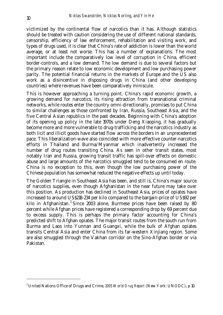victimized by the continental flow of narcotics than it has. Although statistics should be treated with caution considering the use of different national standards, censorship, efficiency of law enforcement, rehabilitation and visiting work, and types of drugs used, it is clear that China's rate of addiction is lower than the world average, or at least not worse. This has a number of explanations. The most important include the comparatively low level of corruption in China, efficient border-controls, and a low demand. The low demand is due to several factors but the primary reason relate to low economic development and low purchasing power parity. The potential financial returns in the markets of Europe and the US also work as a disincentive in disposing drugs in China (and other developing countries) where revenues have been comparatively miniscule.

This is however approaching a turning point. China's rapid economic growth, a growing demand for narcotics, its rising attraction from transnational criminal networks, while routes enter the country omni-directionally, promises to put China to similar challenges as those confronted by Iran, Russia, Southeast Asia, and the five Central Asian republics in the past decades. Beginning with China's adoption of its opening up policy in the late 1970s under Deng Xiaoping, it has gradually become more and more vulnerable to drug-trafficking and the narcotics industry as both licit and illicit goods have started flow across the borders in an unprecedented pace. This liberalization-wave also coincided with more effective counter-narcotics efforts in Thailand and Burma/Myanmar which inadvertently increased the number of drug routes transiting China. As seen in other transit states, most notably Iran and Russia, growing transit traffic has spill-over effects on domestic abuse and large amounts of the narcotics smuggled tend to be consumed en route. China is no exception to this, even though the low purchasing power of the Chinese population has somewhat reduced the negative effects up until today.

The Golden Triangle in Southeast Asia has been, and still is, China's major source of narcotics supplies, even though Afghanistan in the near future may take over this position. As production has declined in Southeast Asia, prices of opiates have increased to around US\$218-234 per kilo compared to the bargain-price of US\$92 per kilo in Afghanistan.<sup>1</sup> Since 2003 alone, Burmese prices have been raised by 80 percent while Afghan prices have registered a corresponding drop by 69 percent due to excess supply. This is perhaps the primary factor accounting for China's predicted shift to Afghan opiates. The major transit routes from the south run from Burma and Laos into Yunnan and Guangxi, while the bulk of Afghan opiates transits Central Asia and enter China from its far-western Xinjiang region. Some are also smuggled through the Vakhan corridor on the Sino-Afghan border or via Pakistan.

<sup>1</sup> United Nations Office of Drugs and Crime, *2005 World Drug Report* (New York: UNODC), p 10.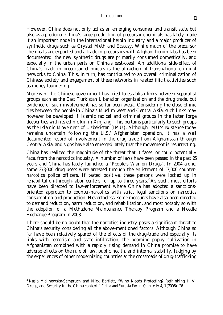However, China does not only act as an emerging consumer and transit state but also as a producer. China's large production of precursor chemicals has lately made it an important node in the international heroin industry and a major producer of synthetic drugs such as Crystal Meth and Ecstasy. While much of the precursor chemicals are exported and a trade in precursors with Afghani heroin labs has been documented, the new synthetic drugs are primarily consumed domestically, and especially in the urban parts on China's east-coast. An additional side-effect of China's trade in precursor chemicals is the attraction of transnational criminal networks to China. This, in turn, has contributed to an overall criminalization of Chinese society and engagement of these networks in related illicit activities such as money laundering.

Moreover, the Chinese government has tried to establish links between separatist groups such as the East Turkistan Liberation organization and the drug trade, but evidence of such involvement has so far been weak. Considering the close ethnic ties between the people in China's Muslim west and Central Asia, such links may however be developed if Islamic radical and criminal groups in the latter forge deeper ties with its ethnic kin in Xinjiang. This pertains particularly to such groups as the Islamic Movement of Uzbekistan (IMU). Although IMU's existence today remains uncertain following the U.S.' Afghanistan operation, it has a well documented record of involvement in the drug trade from Afghanistan through Central Asia, and signs have also emerged lately that the movement is resurrecting.

China has realized the magnitude of the threat that it faces, or could potentially face, from the narcotics industry. A number of laws have been passed in the past 25 years and China has lately launched a "People's War on Drugs". In 2004 alone, some 273,000 drug users were arrested through the enlistment of 17,000 counternarcotics police officers. If tested positive, these persons were locked up in rehabilitation-through-labor centers for up to three years.<sup>2</sup> As such, most efforts have been directed to law-enforcement where China has adopted a sanctionsoriented approach to counter-narcotics with strict legal sanctions on narcotics consumption and production. Nevertheless, some measures have also been directed to demand reduction, harm reduction, and rehabilitation, and most notably so with the adoption of a Methadone Maintenance Therapy Program and a Needle Exchange Program in 2003.

There should be no doubt that the narcotics industry poses a significant threat to China's security considering all the above-mentioned factors. Although China so far have been relatively spared of the effects of the drug-trade and especially its links with terrorism and state infiltration, the booming poppy cultivation in Afghanistan combined with a rapidly rising demand in China promise to have adverse effects on the rule of law, public health, and internal stability. Judging by the experiences of other modernizing countries at the crossroads of drug-trafficking

<sup>&</sup>lt;sup>2</sup> Kasia Malinowska-Sempruch and Nick Bartlett, "Who Needs Protecting? Rethinking HIV, Drugs, and Security in the China context," *China and Eurasia Forum Quarterly* 4, 1 (2006): 26.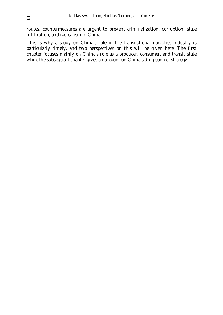routes, countermeasures are urgent to prevent criminalization, corruption, state infiltration, and radicalism in China.

This is why a study on China's role in the transnational narcotics industry is particularly timely, and two perspectives on this will be given here. The first chapter focuses mainly on China's role as a producer, consumer, and transit state while the subsequent chapter gives an account on China's drug control strategy.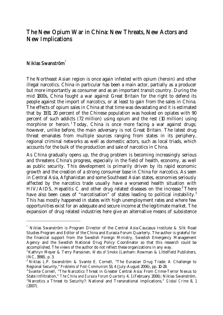### The New Opium War in China: New Threats, New Actors and New Implications

#### Niklas Swanström\*

-

The Northeast Asian region is once again infested with opium (heroin) and other illegal narcotics. China in particular has been a main actor, partially as a producer but more importantly as consumer and as an important transit country. During the mid 1800s, China fought a war against Great Britain for the right to defend its people against the import of narcotics, or at least to gain from the sales in China. The effects of opium sales in China at that time was devastating and it is estimated that by 1931, 20 percent of the Chinese population was hooked on opiates with 90 percent of such addicts (72 million) using opium and the rest (10 million) using morphine or heroin.<sup>1</sup> Today, China is once more facing a war against drugs; however, unlike before, the main adversary is not Great Britain. The latest drug threat emanates from multiple sources ranging from states in its periphery, regional criminal networks as well as domestic actors, such as local triads, which accounts for the bulk of the production and sale of narcotics in China.

As China gradually opens up, the drug problem is becoming increasingly serious and threatens China's progress, especially in the field of health, economy, as well as public security. This development is primarily driven by its rapid economic growth and the creation of a strong consumer base in China for narcotics. As seen in Central Asia, Afghanistan and some Southeast Asian states, economies seriously affected by the narcotics trade usually have a worsened health situation with HIV/AIDS, Hepatitis C and other drug related diseases on the increase.<sup>2</sup> There have also been cases of "narcotisation" of states leading to political instability. $^3$ This has mostly happened in states with high unemployment rates and where few opportunities exist for an adequate and secure income at the legitimate market. The expansion of drug related industries here give an alternative means of subsistence

<sup>\*</sup> Niklas Swanström is Program Director of the Central Asia-Caucasus Institute & Silk Road Studies Program and Editor of the China and Eurasia Forum Quarterly. The author is grateful for the financial support from the Swedish Foreign Ministry, Swedish Emergency Management Agency and the Swedish National Drug Policy Coordinator so that this research could be accomplished. The views of the author do not reflect these organizations in any way.

<sup>&</sup>lt;sup>1</sup> Kathryn Meyer & Terry Parssinen, *Webs of Smoke* (Lanham: Rowman & Littelfield Publishers, INC, 1998), p. 3.

<sup>&</sup>lt;sup>2</sup> Niklas L.P. Swanström & Svante E. Cornell, "The Eurasian Drug Trade: A Challenge to Regional Security," *Problems of Post-Communism* 53, 4 (July-August 2006), pp. 10-28.

<sup>&</sup>lt;sup>3</sup> Svante Cornell, "The Narcotics Threat in Greater Central Asia: From Crime-Terror Nexus to State Infiltration," *The China and Eurasia Forum Quarterly* 4, 1 (February 2006); Niklas Swanström, "Narcotics a Threat to Security?: National and Transnational implications," *Global Crime* 8, 1 (2007).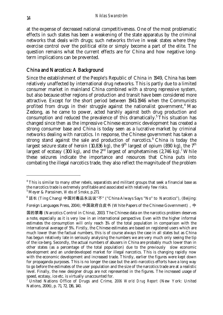at the expense of decreased national competitiveness. One of the most problematic effects in such states has been a weakening of the state apparatus by the criminal networks that deals with drugs; such networks thrive in weak states where they exercise control over the political elite or simply become a part of the elite. The question remains what the current effects are for China and how negative longterm implications can be prevented.

#### China and Narcotics: A Background

Since the establishment of the People's Republic of China in 1949, China has been relatively unaffected by international drug networks. This is partly due to a limited consumer market in mainland China combined with a strong repressive system, but also because other regions of production and transit have been considered more attractive. Except for the short period between 1941-1946 when the Communists profited from drugs in their struggle against the nationalist government,<sup>4</sup> Mao Zedong, as he came to power, acted harshly against both drug production and consumption and reduced the prevalence of this dramatically.<sup>5</sup> This situation has changed since then as the impressive Chinese economic development has created a strong consumer base and China is today seen as a lucrative market by criminal networks dealing with narcotics. In response, the Chinese government has taken a strong stand against the sale and production of narcotics.<sup>6</sup> China is today the largest seizure state of heroin (10,836 kg), the 9<sup>th</sup> largest of opium (890 kg), the 7<sup>th</sup> largest of ecstasy (300 kg), and the  $2<sup>nd</sup>$  largest of amphetamines (2,746 kg).<sup>7</sup> While these seizures indicate the importance and resources that China puts into combating the illegal narcotics trade, they also reflect the magnitude of the problem

<sup>6</sup> 廷长 (Ting Chang) 中国对毒品永远说"不" ("China Always Says "No" to Narcotics"), (Beijing:

Foreign Languages Press, 2004); 中国政府白皮书 (White Papers of the Chinese Government), 中

<sup>&</sup>lt;sup>4</sup> This is similar to many other rebels, separatists and militant groups that seek a financial base as the narcotics trade is extremely profitable and associated with relatively few risks.

<sup>5</sup> Meyer & Parssinen, *Webs of Smoke*, p.271.

国的禁毒 (Narcotics Control in China), 2003. The Chinese data on the narcotics problem deserves a note, especially as it is very low in an international perspective. Even with the higher informal estimates the consumption will only reach 1% of the total population in comparison with the international average of 5%. Firstly, the Chinese estimates are based on registered users which are much lower than the factual numbers, this is of course always the case in all states but as China has begun relatively late in seriously analysing the numbers we are very much only seeing the tip of the ice-berg. Secondly, the actual numbers of abusers in China are probably much lower than in other states (as a percentage of the total population) due to the previously slow economic development and an underdeveloped market for illegal narcotics. This is changing rapidly now with the economic development and increased trade. Thirdly, earlier the figures were kept down for propaganda purposes. This is no longer the case but the anti-narcotics efforts have a long way to go before the estimates of the user population and the size of the narcotics trade are at a realistic level. Finally, the new designer drugs are not represented in the figures. The increased usage of speed, ecstasy, ice etc. is virtually unaccounted for.

<sup>7</sup> United Nations Office of Drugs and Crime, *2006 World Drug Report* (New York: United Nations, 2006), p. 71, 72, 136, 140.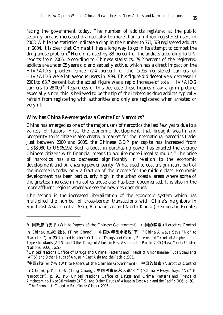facing the government today. The number of addicts *registered* at the public security organs increased dramatically to more than a million registered users in 2003. While the statistics indicate a drop in the number to 771, 579 registered addicts in 2004, it is clear that China still has a long way to go in its attempt to combat the drug abuse problem.<sup>8</sup> Heroin is used by 88 percent of the addicts according to UN reports from 2006.<sup>9</sup> According to Chinese statistics, 79.2 percent of the registered addicts are under 35 years old and sexually active, which has a direct impact on the HIV/AIDS problem since 72.4 percent of the 17 316 registered carriers of HIV/AIDS were intravenous users in 1999. This figure did deceptively decrease in 2001 to 68.7 percent but the actual figure was a rapid increase of total HIV/AIDS carriers to 28 000.10 Regardless of this decrease these figures draw a grim picture, especially since this is believed to be the tip of the iceberg as drug addicts typically refrain from registering with authorities and only are registered when arrested or very ill.

#### Why has China Re-emerged as a Centre For Narcotics?

-

China has emerged as one of the major users of narcotics the last few years due to a variety of factors. First, the economic development that brought wealth and prosperity to its citizens also created a market for the international narcotics trade. Just between 2000 and 2005, the Chinese GDP per capita has increased from US\$3,980 to US\$6,292. Such a boost in purchasing power has enabled the average Chinese citizens with financial means to acquire more illegal stimulus.<sup>11</sup> The price of narcotics has also decreased significantly in relation to the economic development and purchasing power parity. What used to cost a significant part of the income is today only a fraction of the income for the middle class. Economic development has been particularly high in the urban coastal areas where some of the greatest increase in narcotics abuse also has been documented. It is also in the more affluent regions where we see the new designer drugs.

The second is the increased liberalization of the economic system which has multiplied the number of cross-border transactions with China's neighbors in Southeast Asia, Central Asia, Afghanistan and North Korea (Democratic Peoples

<sup>8</sup> 中国政府白皮书 (White Papers of the Chinese Government),中国的禁毒 (Narcotics Control

in China), p.146; 廷长 (Ting Chang), 中国对毒品永远说"不" ("China Always Says "No" to Narcotics"), p. 20; United Nations Office of Drugs and Crime, *Patterns and Trends of Amphetamine-Type Stimulants (ATS) and Other Drugs of Abuse in East Asia and the Pacific 2005* (New York: United Nations, 2006), p.50.

<sup>9</sup> United Nations Office of Drugs and Crime, *Patterns and Trends of Amphetamine-Type Stimulants (ATS) and Other Drugs of Abuse in East Asia and the Pacific 2005*.

<sup>10</sup>中国政府白皮书 (White Papers of the Chinese Government),中国的禁毒 (Narcotics Control

in China), p.146; 廷长 (Ting Chang), 中国对毒品永远说"不" ("China Always Says "No" to Narcotics"), p. 20, 146; United Nations Office of Drugs and Crime, *Patterns and Trends of Amphetamine-Type Stimulants (ATS) and Other Drugs of Abuse in East Asia and the Pacific 2005*, p. 50. <sup>11</sup> *The Economist*, Country Briefings: China, 2006.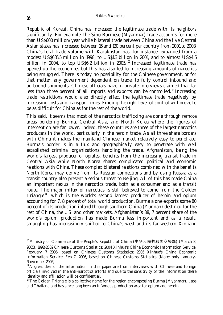Republic of Korea). China has increased the legitimate trade with its neighbors significantly. For example, the Sino-Burmese (Myanmar) trade accounts for more than US\$600 million/year while bilateral trade between China and the five Central Asian states has increased between 15 and 120 percent per country from 2001 to 2003. China's total trade volume with Kazakhstan has, for instance, expanded from a modest US\$635.5 million in 1998, to US\$1.3 billion in 2001, and to almost US\$4.5 billion in 2004, to top US\$6.2 billion in 2005.<sup>12</sup> Increased legitimate trade has opened up the economies but this has also led to increasing amounts of narcotics being smuggled. There is today no possibility for the Chinese government, or for that matter, any government dependent on trade, to fully control inbound and outbound shipments. Chinese officials have in private interviews claimed that far less than three percent of all imports and exports can be controlled. 13 Increasing trade restrictions would also directly affect the legitimate trade negatively by increasing costs and transport times. Finding the right level of control will prove to be as difficult for China as for the rest of the world.

This said, it seems that most of the narcotics trafficking are done through remote areas bordering Burma, Central Asia, and North Korea where the figures of interception are far lower. Indeed, these countries are three of the largest narcotics producers in the world, particularly in the heroin trade. As all three share borders with China it makes the mainland Chinese market relatively easy to penetrate. Burma's border is in a flux and geographically easy to penetrate with well established criminal organizations handling the trade. Afghanistan, being the world's largest producer of opiates, benefits from the increasing transit trade in Central Asia while North Korea shares complicated political and economic relations with China. These complex bilateral relations combined with the benefits North Korea may derive from its Russian connections and by using Russia as a transit country also present a serious threat to Beijing. All of this has made China an important nexus in the narcotics trade, both as a consumer and as a transit route. The major influx of narcotics is still believed to come from the Golden Triangle<sup>14</sup>, which is the world's second largest producer of heroin and opium accounting for 7, 8 percent of total world production. Burma alone exports some 80 percent of its production inland through southern China (Yunnan) destined for the rest of China, the US, and other markets. Afghanistan's 88, 7 percent share of the world's opium production has made Burma less important and as a result, smuggling has increasingly shifted to China's west and its far-western Xinjiang

<sup>&</sup>lt;sup>12</sup> Ministry of Commerce of the People's Republic of China (中华人民共和国商务部) (March 8, 2005). 1992-2002 Chinese Customs Statistics; 2004 Xinhua's China Economic Information Service, February 7 2006, based on Chinese Customs Statistics; 2005 Xinhua's China Economic Information Service, Feb 7, 2006, based on Chinese Customs Statistics (Note: only January-November 2005)-

 $13$  A great deal of the information in this paper are from interviews with Chinese and foreign officials involved in the anti-narcotics efforts and due to the sensitivity of the information there identity and affiliation will be confidential.

 $14$  The Golden Triangle is a collective name for the region encompassing Burma (Myanmar), Laos and Thailand and has since long been an infamous production area for opium and heroin.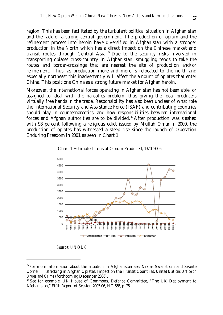region. This has been facilitated by the turbulent political situation in Afghanistan and the lack of a strong central government. The production of opium and the refinement process into heroin have diversified in Afghanistan with a stronger production in the North which has a direct impact on the Chinese market and transit routes through Central Asia. 15 Due to the security risks involved in transporting opiates cross-country in Afghanistan, smuggling tends to take the routes and border-crossings that are nearest the site of production and/or refinement. Thus, as production more and more is relocated to the north and especially northeast this inadvertently will affect the amount of opiates that enter China. This positions China as a strong future market for Afghan heroin.

Moreover, the international forces operating in Afghanistan has not been able, or assigned to, deal with the narcotics problem, thus giving the local producers virtually free hands in the trade. Responsibility has also been unclear of what role the International Security and Assistance Force (ISAF) and contributing countries should play in counternarcotics, and how responsibilities between international forces and Afghan authorities are to be divided.<sup>16</sup> After production was slashed with 98 percent following a religious edict issued by Mullah Omar in 2000, the production of opiates has witnessed a steep rise since the launch of Operation Enduring Freedom in 2001, as seen in Chart 1.





*Source: UNODC* 

<sup>&</sup>lt;sup>15</sup> For more information about the situation in Afghanistan see: Niklas Swanström and Svante Cornell, Trafficking in Afghan Opiates: Impact on the Transit Countries, *United Nations Office on Drugs and Crime* (forthcoming December 2006).

<sup>&</sup>lt;sup>16</sup> See for example, UK House of Commons, Defence Committee, "The UK Deployment to Afghanistan," Fifth Report of Session 2005-06, HC 558, p. 25.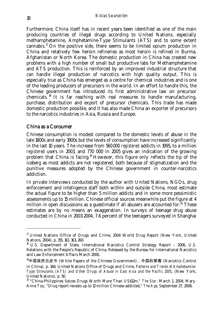Furthermore, China itself has in recent years been identified as one of the main producing countries of illegal drugs according to United Nations, especially methamphetamine, Amphetamine-Type Stimulants (ATS) and to some extent cannabis.<sup>17</sup> On the positive side, there seems to be limited opium production in China and relatively few heroin refineries as most heroin is refined in Burma, Afghanistan or North Korea. The domestic production in China has created new problems with a high number of small but productive labs for Methamphetamine and ATS production. This is reinforced by an improved industrial structure that can handle illegal production of narcotics with high quality output. This is especially true as China has emerged as a centre for chemical industries and is one of the leading producers of precursors in the world. In an effort to handle this, the Chinese government has introduced its first administrative law on precursor chemicals. <sup>18</sup> It is far reaching with real measures to handle manufacturing, purchase, distribution and export of precursor chemicals. This trade has made domestic production possible, and it has also made China an exporter of precursors to the narcotics industries in Asia, Russia and Europe.

#### China as a Consumer

-

Chinese consumption is modest compared to the domestic levels of abuse in the late 1800s and early 1900s but the levels of consumption have increased significantly in the last 10 years. The increase from 560 000 *registered* addicts in 1995, to a million *registered* users in 2003, and 770 000 in 2005 gives an indication of the growing problem that China is facing.19 However, this figure only reflects the tip of the iceberg as most addicts are not registered, both because of stigmatization and the punitive measures adopted by the Chinese government in counter-narcotics addiction.

In private interviews conducted by the author with United Nations, NGOs, drug enforcement and intelligence staff both within and outside China, most estimate the actual figure to be higher than 5 million addicts and in some more pessimistic assessments up to 15 million. Chinese official sources meanwhile put the figure at 4 million in open discussions as a guestimate if all abusers are accounted for. $20$  These estimates are by no means an exaggeration. In surveys of teenage drug abuse conducted in China in 2003-2004, 7.6 percent of the teenagers surveyed in Shanghai

<sup>&</sup>lt;sup>17</sup> United Nations Office of Drugs and Crime, 2004 World Drug Report (New York, United Nations, 2004), p. 155, 161, 163, 260.

<sup>&</sup>lt;sup>18</sup> U.S. Department of State, International Narcotics Control Strategy Report - 2006, U.S. Relations with the People's Republic of China, Released by the Bureau for International Narcotics and Law Enforcement Affairs March 2006.

<sup>19</sup>中国政府白皮书 (White Papers of the Chinese Government),中国的禁毒 (Narcotics Control in China), p. 146; United Nations Office of Drugs and Crime, *Patterns and Trends of Amphetamine-Type Stimulants (ATS) and Other Drugs of Abuse in East Asia and the Pacific 2005*, (New York, United Nations), p. 50.

<sup>20 &</sup>quot;China-Philippines Seizes Drugs Worth More Than US\$12m," *The Star*, March 1, 2004; Mary-Anne Toy, "Drug report reveals up to 12 million Chinese addicted," *The Age*, September 27, 2006.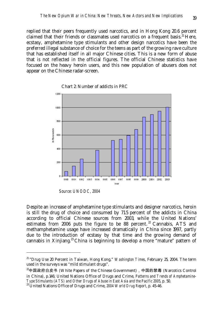replied that their peers frequently used narcotics, and in Hong Kong 20.6 percent claimed that their friends or classmates used narcotics on a frequent basis.<sup>21</sup> Here, ecstasy, amphetamine type stimulants and other design narcotics have been the preferred illegal substance of choice for the teens as part of the growing rave culture that has established itself in all major Chinese cities. This is a new form of abuse that is not reflected in the official figures. The official Chinese statistics have focused on the heavy heroin users, and this new population of abusers does not appear on the Chinese radar-screen.



Chart 2: Number of addicts in PRC

*Source: UNODC, 2004* 

-

Despite an increase of amphetamine type stimulants and designer narcotics, heroin is still the drug of choice and consumed by 71.5 percent of the addicts in China according to official Chinese sources from 2003, while the United Nations' estimates from 2006 puts the figure to be 88 percent.<sup>22</sup> Cannabis, ATS and methamphetamine usage have increased dramatically in China since 1997, partly due to the introduction of ecstasy by that time and the growing demand of cannabis in Xinjiang.<sup>23</sup> China is beginning to develop a more "mature" pattern of

 $22$ 中国政府白皮书 (White Papers of the Chinese Government), 中国的禁毒 (Narcotics Control in China), p.146; United Nations Office of Drugs and Crime, *Patterns and Trends of Amphetamine-Type Stimulants (ATS) and Other Drugs of Abuse in East Asia and the Pacific 2005*, p. 50.

<sup>&</sup>lt;sup>21</sup> "Drug Use 20 Percent in Taiwan, Hong Kong," *Washington Times*, February 25, 2004. The term used in the surveys was "mild stimulant drugs".

<sup>&</sup>lt;sup>23</sup> United Nations Office of Drugs and Crime, 2004 World Drug Report, p. 45-46.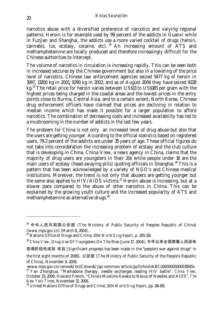narcotics abuse with a diversified preference of narcotics and varying regional patterns. Heroin is for example used by 99 percent of the addicts in Guanxi while in Fuzjian and Shanghai, the addicts use a more varied cocktail of drugs (heroin, cannabis, ice, ecstasy, cocaine, etc). <sup>24</sup> An increasing amount of ATS and methamphetamine are locally produced and therefore increasingly difficult for the Chinese authorities to intercept.

The volume of narcotics in circulation is increasing rapidly. This can be seen both in increased seizures by the Chinese government but also in a lowering of the price level of narcotics. Chinese law enforcement agencies seized 5477 kg of heroin in 1997, 13200 kg in 2001, 9290 kg in 2002, and as of August 2006 they have seized 9228 kg.<sup>25</sup> The retail price for heroin varies between US\$13 to US\$185 per gram with the highest prices being charged in the coastal areas and the lowest prices in the entry points close to Burma, Central Asia, and to a certain extent, North Korea. Chinese drug enforcement officers have claimed that prices are declining in relation to median income which has made it possible for a larger population to afford narcotics. The combination of decreasing costs and increased availability has led to a mushrooming in the number of addicts in the last few years.

The problem for China is not only an increased level of drug abuse but also that the users are getting younger. According to the official statistics based on registered users, 79.2 percent of the addicts are under 35 years of age. These official figures do not take into consideration the increasing problem of ecstasy and the club culture that is developing in China. China View, a news agency in China, claims that the majority of drug users are youngsters in their 20s while people under 18 are the main users of ecstasy (head-swaying pills) quoting officials in Shanghai.<sup>26</sup> This is a pattern that has been acknowledged by a variety of NGO's and Chinese medical institutions. Moreover, the trend is not only that abusers are getting younger but the same also applies to HIV/AIDS victims.<sup>27</sup> Heroin abuse is increasing, but at a slower pace compared to the abuse of other narcotics in China. This can be explained by the growing youth culture and the increased popularity of ATS and methamphetamine as alternative drugs.<sup>28</sup>

<sup>24</sup> 中华人民共和国公安部 (The Ministry of Public Security of Peoples Republic of China) (www.mps.gov.cn) (March 8, 2004). .

<sup>25</sup> Nations Office of Drugs and Crime, *2004 World Drug Report*, p. 205-331.

<sup>26</sup> *China View*, Drug Use Of Youngsters On The Rise (June 17, 2004); 今年以来全国禁毒人民战争

取得阶段性成效 来自 [Significant progress has been made in the "people's war against drugs" in

the first eight months of 2006], 公安部 [The Ministry of Public Security of the People's Republic of China], November 9, 2006,

<sup>&</sup>lt;www.mps.gov.cn/cenweb/brjlCenweb/jsp/common/article.jsp?infoid=ABC00000000000035545>

<sup>27</sup> Yan Zhonghua, "Methadone therapy, needle exchanges leading HIV battle", *China View*, October 23, 2006; Howard French, "China's Muslims Awake to Nexus of Needles and AIDS", *The New York Times*, November 12, 2006.

<sup>28</sup> United Nations Office of Drugs and Crime, *2004 World Drug Report*, pp. 88-89;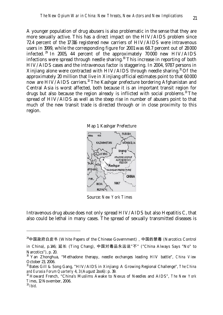A younger population of drug abusers is also problematic in the sense that they are more sexually active. This has a direct impact on the HIV/AIDS problem since 72.4 percent of the 17 316 registered new carriers of HIV/AIDS were intravenous users in 1999, while the corresponding figure for 2001 was 68.7 percent out of 28 000 infected. 29 In 2005, 44 percent of the approximately 70 000 new HIV/AIDS infections were spread through needle sharing.<sup>30</sup> This increase in reporting of both HIV/AIDS cases and the intravenous factor is staggering. In 2004, 9787 persons in Xinjiang alone were contracted with  $HIV/ALDS$  through needle sharing.<sup>31</sup> Of the approximately 20 million that live in Xinjiang official estimates point to that 60 000 now are  $HIV/AIDS$  carriers.<sup>32</sup> The Kashgar prefecture bordering Afghanistan and Central Asia is worst affected, both because it is an important transit region for drugs but also because the region already is inflicted with social problems. $33$  The spread of HIV/AIDS as well as the steep rise in number of abusers point to that much of the new transit trade is directed through or in close proximity to this region.





Source: *New York Times*

Intravenous drug abuse does not only spread HIV/AIDS but also Hepatitis C, that also could be lethal in many cases. The spread of sexually transmitted diseases is

<sup>&</sup>lt;sup>29</sup>中国政府白皮书 (White Papers of the Chinese Government), 中国的禁毒 (Narcotics Control

in China), p.146; 延长 (Ting Chang), 中国对毒品永远说"不" ("China Always Says "No" to Narcotics"), p. 20.

<sup>30</sup> Yan Zhonghua, "Methadone therapy, needle exchanges leading HIV battle", *China View* October 23, 2006.

<sup>31</sup> Bates Gill & Song Gang, "HIV/AIDS in Xinjiang: A Growing Regional Challenge", *The China and Eurasia Forum Quarterly* 4, 3 (August 2oo6): p. 39.

<sup>32</sup> Howard French, "China's Muslims Awake to Nexus of Needles and AIDS", *The New York Times*, 12 November, 2006.

<sup>33</sup> *Ibid*.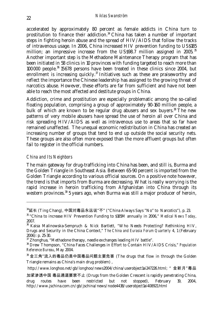accelerated by approximately 80 percent as female addicts in China turn to prostitution to finance their addiction. $34$  China has taken a number of important steps in fighting heroin abuse and the spread of HIV/AIDS that follow the tracks of intravenous usage. In 2006, China increased HIV prevention funding to US\$185 million; an impressive increase from the US\$98.7 million assigned in 2005.<sup>35</sup> Another important step is the Methadone Maintenance Therapy program that has been initiated in 58 clinics in 10 provinces with funding targeted to reach more than 100 000 people.36 15 678 persons have been treated in these clinics since 2004, but enrollment is increasing quickly. $37$  Initiatives such as these are praiseworthy and reflect the importance the Chinese leadership has assigned to the growing threat of narcotics abuse. However, these efforts are far from sufficient and have not been able to reach the most affected and destitute groups in China.

Addiction, crime and prostitution are especially problematic among the so-called floating population, comprising a group of approximately 90-160 million people, a bulk of which are known to be regular drug abusers and sex buyers.<sup>38</sup> The new patterns of very mobile abusers have spread the use of heroin all over China and risk spreading HIV/AIDS as well as intravenous use to areas that so far have remained unaffected. The unequal economic redistribution in China has created an increasing number of groups that tend to end up outside the social security nets. These groups are also often more exposed than the more affluent groups but often fail to register in the official numbers.

#### *China and Its Neighbors*

-

The main gateway for drug-trafficking into China has been, and still is, Burma and the Golden Triangle in Southeast Asia. Between 65-90 percent is imported from the Golden Triangle according to various official sources. On a positive note however, the trend is that imports from Burma are decreasing. What is really worrying is the rapid increase in heroin trafficking from Afghanistan into China through its western provinces.<sup>39</sup> 5 years ago, when Burma was still a major producer of heroin,

 $34$ 延长 (Ting Chang), 中国对毒品永远说"不" ("China Always Says "No" to Narcotics"), p. 23.

<sup>35 &</sup>quot;China to increase HIV Prevention Funding to \$185M annually in 2006," *Medical News Today*, 2007.

<sup>36</sup> Kaisa Malinowska-Sempruch & Nick Bartlett, "Who Needs Protecting? Rethinking HIV, Drugs and Security in the China Context," *The China and Eurasia Forum Quarterly* 4, 1 (February 2006): p. 25-30.

 $37$  Zhonghua, "Methadone therapy, needle exchanges leading HIV battle".

<sup>38</sup> Drew Thompson, "China Faces Challenges in Effort to Contain HIV/AIDS Crisis," *Population Reference Bureau*, May 2004.

<sup>39</sup> 金三角"流入的毒品仍是中国毒品问题主要危害 (The drugs that flow in through the Golden Triangle remains as China's main drug problem) ,

http://www.longhoo.net/gb/longhoo/news2004/china/userobiectlai247226.html: "金新月"毒品

加紧渗透中国 毒品通道屡禁不止 (Drugs from the Golden Crescent is rapidly penetrating China, drug routes have been restricted but not stopped), February 19, 2004, http://www.jschina.com.cn/gb/jschina/news/node4438/userobject1ai408921.html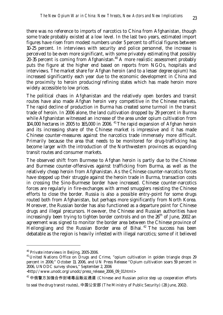there was no reference to imports of narcotics to China from Afghanistan, though some trade probably existed at a low level. In the last two years, estimated import figures have risen from modest numbers under 5 percent to official figures between 10-25 percent. In interviews with security and police personnel, the increase is perceived to be even more significant, with some privately estimating that possibly  $20-35$  percent is coming from Afghanistan.<sup>40</sup> A more realistic assessment probably puts the figure at the higher end based on reports from NGOs, hospitals and interviews. The market share for Afghan heroin (and to a lesser degree opium) has increased significantly each year due to the economic development in China and the proximity to heroin producing/refining states which has made heroin more widely accessible to low prices.

The political chaos in Afghanistan and the relatively open borders and transit routes have also made Afghan heroin very competitive in the Chinese markets. The rapid decline of production in Burma has created some turmoil in the transit trade of heroin. In 2006 alone, the land cultivation dropped by 29 percent in Burma while Afghanistan witnessed an increase of the area under opium cultivation from 104,000 hectares in 2005 to 165,000 in 2006. 41 The rapid expansion of Afghan heroin and its increasing share of the Chinese market is impressive and it has made Chinese counter-measures against the narcotics trade immensely more difficult. Primarily because the area that needs to be monitored for drug-trafficking has become larger with the introduction of the Northwestern provinces as expanding transit routes and consumer markets.

The observed shift from Burmese to Afghan heroin is partly due to the Chinese and Burmese counter-offensives against trafficking from Burma, as well as the relatively cheap heroin from Afghanistan. As the Chinese counter-narcotics forces have stepped up their struggle against the heroin trade in Burma, transaction costs in crossing the Sino-Burmese border have increased. Chinese counter-narcotics forces are regularly in fire-exchanges with armed smugglers resisting the Chinese efforts to close the border. Russia is also a possible entry-point for some drugs routed both from Afghanistan, but perhaps more significantly from North Korea. Moreover, the Russian border has also functioned as a departure point for Chinese drugs and illegal precursors. However, the Chinese and Russian authorities have increasingly been trying to tighten border controls and on the  $26<sup>th</sup>$  of June, 2002 an agreement was signed to monitor the border area between the Chinese province of Heilongjiang and the Russian Border area of Bihai.<sup>42</sup> The success has been debatable as the region is heavily infested with illegal narcotics; some of it believed

<sup>40</sup> Private interviews in Beijing, 2005-2006.

<sup>&</sup>lt;sup>41</sup> United Nations Office on Drugs and Crime, "opium cultivation in golden triangle drops 29 percent in 2006;" October 13, 2006, and UN Press Release "Opium cultivation soars 59 percent in 2006, UNODC survey shows," September 2, 2006

<sup>&</sup>lt;http://www.unodc.org/unodc/press\_release\_2006\_09\_01.html>

 $42$  中俄警方加强合作封堵毒品贩运通道 (Chinese and Russian police step up cooperation efforts

to seal the drug transit routes), 中国公安部 (The Ministry of Public Security) (28 June, 2002).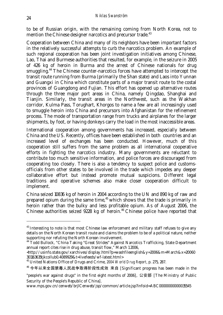to be of Russian origin, with the remaining coming from North Korea, not to mention the Chinese designer narcotics and precursor trade.<sup>43</sup>

Cooperation between China and many of its neighbors have been important factors in the relatively successful attempts to curb the narcotics problem. An example of such regional cooperation has been joint investigation initiatives among Chinese, Lao, Thai and Burmese authorities that resulted, for example, in the seizure in 2005 of 426 kg of heroin in Burma and the arrest of Chinese nationals for drug smuggling.<sup>44</sup> The Chinese counter-narcotics forces have attempted to intercept the transit route running from Burma (primarily the Shan state) and Laos into Yunnan and Guangxi in China which constitute parts of a major transit route to the costal provinces of Guangdong and Fujian. This effort has opened up alternative routes through the three major port areas in China, namely Qingdao, Shanghai and Tianjin. Similarly, the transit areas in the Northwest, such as the Wakhan corridor, Kulma Pass, Torughart, Khorgos to name a few are all increasingly used to smuggle heroin into China and precursors into Afghanistan for the refinement process. The mode of transportation range from trucks and airplanes for the larger shipments, by foot, or having donkeys carry the load in the most inaccessible areas.

International cooperation among governments has increased, especially between China and the US. Recently, offices have been established in both countries and an increased level of exchanges has been conducted. However, much of this cooperation still suffers from the same problem as all international cooperative efforts in fighting the narcotics industry. Many governments are reluctant to contribute too much sensitive information, and police forces are discouraged from cooperating too closely. There is also a tendency to suspect police and customsofficials from other states to be involved in the trade which impedes any deeper collaborative effort but instead promote mutual suspicions. Different legal traditions and operative schemes also make closer cooperation difficult to implement.

China seized 10836 kg of heroin in 2004 according to the UN and 890 kg of raw and prepared opium during the same time, $45$  which shows that the trade is primarily in heroin rather than the bulky and less profitable opium. As of August 2006, the Chinese authorities seized  $9228$  kg of heroin.<sup>46</sup> Chinese police have reported that

www.mps.gov.cn/cenweb/brjlCenweb/jsp/common/article.jsp?infoid=ABC00000000000035545

 $43$  Interesting to note is that most Chinese law enforcement and military staff refuses to give any details on the North Korean transit route and claims the problem to be of a political nature, neither supporting nor refuting the North Korean involvement.

<sup>&</sup>lt;sup>44</sup> Todd Bullock, "China Taking "Great Strides" Against Narcotics Trafficking, State Department annual report cites rise in drug abuse, transit flow," March 1 2006,

<sup>&</sup>lt;http://usinfo.state.gov/xarchives/display.html?p=washfileenglish&y=2006&m=March&x=20060 301163635tjkcollub0.4089929&t=livefeeds/wf-latest.html>

<sup>45</sup> United Nations Office of Drugs and Crime, *2004 World Drug Report*, p. 275, 287.

<sup>46</sup> 今年以来全国禁毒人民战争取得阶段性成效 来自 [Significant progress has been made in the

<sup>&</sup>quot;people's war against drugs" in the first eight months of 2006], 公安部 [The Ministry of Public Security of the People's Republic of China].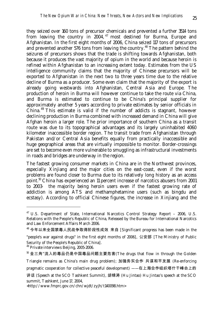they seized over 160 tons of precursor chemicals and prevented a further 3514 tons from leaving the country in 2004, <sup>47</sup> most destined for Burma, Europe and Afghanistan. In the first eight months of 2006, China seized 117 tons of precursors and prevented another 576 tons from leaving the country.<sup>48</sup> The pattern behind the seizures of precursors shows that the trade is shifting towards Afghanistan, both because it produces the vast majority of opium in the world and because heroin is refined within Afghanistan to an increasing extent today. Estimates from the US intelligence community claims that the majority of Chinese precursors will be exported to Afghanistan in the next two to three years time due to the relative decline of Burma as a producer. Some even claim that the majority of the export is already going westwards into Afghanistan, Central Asia and Europe. The production of heroin in Burma will however continue to take the route via China, and Burma is estimated to continue to be China's principal supplier for approximately another 5 years according to private estimates by senior officials in China. 49 This estimate is valid if the number of addicts is stagnant, however declining production in Burma combined with increased demand in China will give Afghan heroin a larger role. The prior importance of southern China as a transit route was due to its topographical advantages and its largely uninhabited 4060 kilometer inaccessible border region. The transit trade from Afghanistan through Pakistan and/or Central Asia benefits equally from practically inaccessible and huge geographical areas that are virtually impossible to monitor. Border-crossings are set to become even more vulnerable to smuggling as infrastructural investments in roads and bridges are underway in the region.

The fastest growing consumer markets in China are in the Northwest provinces, especially Xinjiang and the major cities on the east-coast, even if the worst problems are found closer to Burma due to its relatively long history as an access point.50 China has experienced an 11 percent increase of narcotics abusers from 2001 to 2003- the majority being heroin users even if the fastest growing rate of addiction is among ATS and methamphetamine users (such as bingdu and ecstasy). According to official Chinese figures, the increase in Xinjiang and the

<sup>&</sup>lt;sup>47</sup> U.S. Department of State, International Narcotics Control Strategy Report - 2006, U.S. Relations with the People's Republic of China, Released by the Bureau for International Narcotics and Law Enforcement Affairs March 2006.

<sup>48</sup> 今年以来全国禁毒人民战争取得阶段性成效 来自 [Significant progress has been made in the "people's war against drugs" in the first eight months of 2006], 公安部 [The Ministry of Public Security of the People's Republic of China].

<sup>49</sup> Private interviews Beijing, 2005-2006.

<sup>50</sup> 金三角"流入的毒品仍是中国毒品问题主要危害(The drugs that flow in through the Golden

Triangle remains as China's main drug problem); 加强务实合作 共谋和平发展 (Re-enforcing

pragmatic cooperation for collective peaceful development) ——在上海合作组织塔什干峰会上的

讲话 (Speech at the SCO Tashkent Summit), 胡锦涛 (Hu Jintao) Hu Jintao's speech at the SCO summit, Tashkent, June 17, 2004,

<sup>&</sup>lt;http://www.fmprc.gov.cn/chn/wjdt/zyjh/t140098.htm>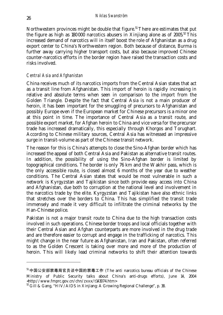Northwestern provinces might be double that figure.<sup>51</sup> There are estimates that put the figure as high as  $180\,000$  narcotics abusers in Xinjiang alone as of  $2005^{52}$  This increased demand of narcotics will in itself boost the role of Afghanistan as a drug export center to China's Northwestern region. Both because of distance, Burma is further away carrying higher transport costs, but also because improved Chinese counter-narcotics efforts in the border region have raised the transaction costs and risks involved.

#### *Central Asia and Afghanistan*

China receives much of its narcotics imports from the Central Asian states that act as a transit line from Afghanistan. This import of heroin is rapidly increasing in relative and absolute terms when seen in comparison to the import from the Golden Triangle. Despite the fact that Central Asia is not a main producer of heroin, it has been important for the smuggling of precursors to Afghanistan and possibly Europe even if the European market for Chinese precursors is a minor one at this point in time. The importance of Central Asia as a transit route, and possible export market, for Afghan heroin to China and vice versa for the precursor trade has increased dramatically, this especially through Khorgos and Torughart. According to Chinese military sources, Central Asia has witnessed an impressive surge in transit-volume as part of the Chinese transit network.

The reason for this is China's attempts to close the Sino-Afghan border which has increased the appeal of both Central Asia and Pakistan as alternative transit routes. In addition, the possibility of using the Sino-Afghan border is limited by topographical conditions. The border is only 76 km and the Wakhir pass, which is the only accessible route, is closed almost 6 months of the year due to weather conditions. The Central Asian states that would be most vulnerable in such a network is Kyrgyzstan and Tajikistan since both provide easy access into China and Afghanistan, due both to corruption at the national level and involvement in the narcotics trade by the elite. Kyrgyzstan and Tajikistan have also ethnic links that stretches over the borders to China. This has simplified the transit trade immensely and made it very difficult to infiltrate the criminal networks by the Han-Chinese police.

Pakistan is not a major transit route to China due to the high transaction costs involved in such operations. Chinese border troops and local officials together with their Central Asian and Afghan counterparts are more involved in the drug trade and are therefore easier to corrupt and engage in the trafficking of narcotics. This might change in the near future as Afghanistan, Iran and Pakistan, often referred to as the Golden Crescent is taking over more and more of the production of heroin. This will likely lead criminal networks to shift their attention towards

<sup>51</sup> 中国公安部禁毒局官员谈中国的禁毒工作 (The anti narcotics bureau officials of the Chinese Ministry of Public Security talks about China's anti-drugs efforts), June 14, 2004 <http://www.fmprc.gov.cn/chn/zxxx/t143074.htm>

 $52$  Gill & Gang, "HIV/AIDS in Xinjiang: A Growing Regional Challenge", p. 38.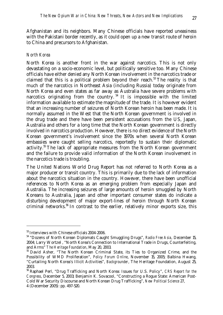Afghanistan and its neighbors. Many Chinese officials have reported uneasiness with the Pakistani border recently, as it could open up a new transit route of heroin to China and precursors to Afghanistan.

#### *North Korea*

North Korea is another front in the war against narcotics. This is not only devastating on a socio-economic level, but politically sensitive too. Many Chinese officials have either denied any North Korean involvement in the narcotics trade or claimed that this is a political problem beyond their reach.<sup>53</sup> The reality is that much of the narcotics in Northeast Asia (including Russia) today originate from North Korea and even states as far away as Australia have severe problems with narcotics originating from the country.<sup>54</sup> It is impossible with the limited information available to estimate the magnitude of the trade. It is however evident that an increasing number of seizures of North Korean heroin has been made. It is normally assumed in the West that the North Korean government is involved in the drug trade and there have been persistent accusations from the US, Japan, Australia and others for a long time that the North Korean government is directly involved in narcotics production. However, there is no direct evidence of the North Korean government's involvement since the 1970s when several North Korean embassies were caught selling narcotics, reportedly to sustain their diplomatic activity.55 The lack of appropriate measures from the North Korean government and the failure to provide valid information of the North Korean involvement in the narcotics trade is troubling.

The United Nations World Drug Report has not referred to North Korea as a major producer or transit country. This is primarily due to the lack of information about the narcotics situation in the country. However, there have been unofficial references to North Korea as an emerging problem from especially Japan and Australia. The increasing seizures of large amounts of heroin smuggled by North Koreans to Australia, Japan and other important consumer states do indicate a disturbing development of major export-lines of heroin through North Korean criminal networks.56 In contrast to the earlier, relatively minor exports size, this

<sup>53</sup> Interviews with Chinese officials 2004-2006.

<sup>54 &</sup>quot;Dozens of North Korean Diplomats Caught Smuggling Drugs", *Radio Free Asia*, December 15, 2004; Larry Wortzel , "North Korea's Connection to International Trade in Drugs, Counterfeiting, and Arms" *The Heritage Foundation*, May 20, 2003.

<sup>&</sup>lt;sup>55</sup> David Asher, "The North Korean Criminal State, its Ties to Organized Crime, and the Possibility of WMD Proliferation", *Policy Forum Online*, November 15, 2005; Balbina Hwang, "Curtailing North Korea's Illicit Activities", *Backgrounder*, The Heritage Foundation, August 25, 2003.

<sup>56</sup> Raphael Perl, "Drug Trafficking and North Korea: Issues for U.S. Policy", *CRS Report for the Congress*, December 5, 2003; Benjamin K. Sovacool, "Constructing a Rogue State: American Post-Cold War Security Discourse and North Korean Drug Trafficking", *New Political Science* 27, 4 (December 2005): pp. 497-520.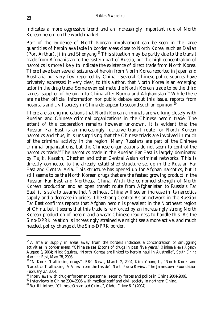indicates a more aggressive trend and an increasingly important role of North Korean heroin on the world market.

Part of the evidence of North Korean involvement can be seen in the large quantities of heroin available in border areas close to North Korea, such as Dalian (Port Arthur), Jilin and Shenyang.57 This situation may be partly due to the transit trade from Afghanistan to the eastern part of Russia, but the high concentration of narcotics is more likely to indicate the existence of direct trade from North Korea. There have been several seizures of heroin from North Korea reported in Japan and Australia but very few reported by China.<sup>58</sup> Several Chinese police sources have privately expressed it very clear, to this author, that North Korea is an emerging actor in the drug trade. Some even estimate the North Korean trade to be the third largest supplier of heroin into China after Burma and Afghanistan.<sup>59</sup> While there are neither official information nor public debate about this issue, reports from hospitals and civil society in China do appear to second such an opinion. $\frac{60}{ }$ 

There are strong indications that North Korean criminals are working closely with Russian and Chinese criminal organizations in the Chinese heroin trade. The extent of this cooperation remains however unknown. It is evident that the Russian Far East is an increasingly lucrative transit route for North Korean narcotics and thus, it is unsurprising that the Chinese triads are involved in much of the criminal activity in the region. Many Russians are part of the Chinese criminal organizations, but the Chinese organizations do not seem to control the narcotics trade. $61$  The narcotics trade in the Russian Far East is largely dominated by Tajik, Kazakh, Chechen and other Central Asian criminal networks. This is directly connected to the already established structure set up in the Russian Far East and Central Asia. This structure has opened up for Afghan narcotics, but it still seems to be the North Korean drugs that are the fastest growing product in the Russian Far East and Northeast China. With the combined strength of North Korean production and an open transit route from Afghanistan to Russia's Far East, it is safe to assume that Northeast China will see an increase in its narcotics supply and a decrease in prices. The strong Central Asian network in the Russian Far East confirms reports that Afghan heroin is prevalent in the Northeast region of China, but it seems that this trade is reinforced by an increasingly strong North Korean production of heroin and a weak Chinese readiness to handle this. As the Sino-DPRK relation is increasingly strained we might see a more active, and much needed, policy change at the Sino-DPRK border.

 $57$  A smaller supply in areas away from the borders indicates a concentration of smuggling activities in border areas. "China seizes 12 tons of drugs in past five years," *Xinhua News Agency* August 3, 2004; Nick Squires, "North Koreas are linked to heroin haul in Australia", *South China Morning Post*, May 28, 2003.

<sup>58 &</sup>quot;N Korea 'trafficking drugs'", *BBC News*, March 2, 2004; Kim Young Il, "North Korea and Narcotics Trafficking: A View from the Inside", *North Korea Review*, The Jamestown Foundation February 27, 2004.

<sup>&</sup>lt;sup>59</sup> Interviews with drug enforcement personnel, security forces and police in China 2004-2006.

 $60$  Interviews in China 2004-2006 with medical staff and civil society in northern China.

<sup>61</sup> Bertil Lintner, "Chinese Organised Crime", *Global Crime* 6, 1 (2004).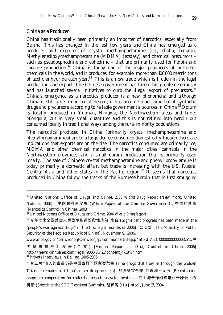#### China as a Producer

-

China has traditionally been primarily an importer of narcotics, especially from Burma. This has changed in the last few years and China has emerged as a producer and exporter of crystal methamphetamine (ice, shabu, bingdu), Methylenedioxymethamphetamine (MDMA) (ecstasy) and chemical precursors – such as pseudoephedrine and ephedrine – that are primarily used for heroin and cocaine production.  $62$  China is today one of the major producers of precursor chemicals in the world, and it produces, for example, more than 100 000 metric tons of acetic anhydride each year.<sup>63</sup> This is a new trade which is hidden in the legal production and export. The Chinese government has taken this problem seriously and has launched several initiatives to curb the illegal export of precursors.  $^{\tilde{6}4}$ China's emergence as a narcotics producer is a new phenomena and although China is still a net importer of heroin, it has become a net exporter of synthetic drugs and precursors according to reliable governmental sources in China.<sup>65</sup> Opium is locally produced in Yunnan, Ningxia, the Northwestern areas and Inner Mongolia, but in very small quantities and this is not refined into heroin but consumed locally in traditional ways among the rural minority populations.

The narcotics produced in China (primarily crystal methamphetamine and phenylpropylaminea) are to a large degree consumed domestically though there are indications that exports are on the rise. The narcotics consumed are primarily ice, MDMA and other chemical narcotics in the major cities, cannabis in the Northwestern provinces, and a small opium production that is primarily used locally. The sale of Chinese crystal methamphetamine and phenyl propylamine is today primarily a domestic affair, but trade is increasing with the US, Russia, Central Asia and other states in the Pacific region.<sup>66</sup> It seems that narcotics produced in China follow the tracks of the Burmese heroin that is first smuggled

<sup>62</sup> United Nations Office of Drugs and Crime, *2006 World Drug Report* (New York: United Nations, 2006); 中国政府白皮书 (White Papers of the Chinese Government),中国的禁毒 (Narcotics Control in China), 2003.

<sup>63</sup> United Nations Office of Drugs and Crime, *2006 World Drug Report*.

<sup>64</sup> 今年以来全国禁毒人民战争取得阶段性成效 来自 [Significant progress has been made in the "people's war against drugs" in the first eight months of 2006], 公安部 [The Ministry of Public Security of the People's Republic of China], November 9, 2006,

www.mps.gov.cn/cenweb/brjlCenweb/jsp/common/article.jsp?infoid=ABC00000000000035545;中

国禁毒报告》发表 ( 全 文 ) [Annual Report on Drug Control in China, 2006] http://news.xinhuanet.com/legal/2006-06/23/content\_4738474.htm <sup>65</sup> Private interviews in Beijing, 2005-2006.

<sup>66</sup> 金三角"流入的毒品仍是中国毒品问题主要危害 (The drugs that flow in through the Golden Triangle remains as China's main drug problem); 加强务实合作 共谋和平发展 (Re-enforcing pragmatic cooperation for collective peaceful development) ——在上海合作组织塔什干峰会上的 讲话 (Speech at the SCO Tashkent Summit), 胡锦涛 (Hu Jintao), June 17, 2004.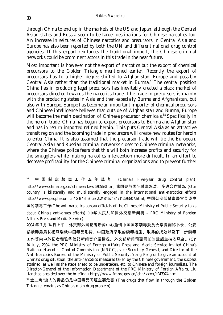through China to end up in the markets of the US and Japan, although the Central Asian states and Russia seem to be target destinations for Chinese narcotics too. An increase in seizures of Chinese narcotics and precursors in Central Asia and Europe has also been reported by both the UN and different national drug control agencies. If this export reinforces the traditional import, the Chinese criminal networks could be prominent actors in this trade in the near future.

Most important is however not the export of narcotics but the export of chemical precursors to the Golden Triangle mentioned earlier. Recently the export of precursors has to a higher degree shifted to Afghanistan, Europe and possibly Central Asia rather than the traditional market in Burma. $67$  The central position China has in producing legal precursors has inevitably created a black market of precursors directed towards the narcotics trade. The trade in precursors is mainly with the producing states in Asia and then especially Burma and Afghanistan, but also with Europe. Europe has become an important importer of chemical precursors and Chinese intelligence believes that outside of Afghanistan and Burma, Europe will become the main destination of Chinese precursor chemicals.<sup>68</sup> Specifically in the heroin trade, China has begun to export precursors to Burma and Afghanistan and has in return imported refined heroin. This puts Central Asia as an attractive transit region and the booming trade in precursors will create new routes for heroin to enter China. It is also assumed that the precursor trade will tie the European, Central Asian and Russian criminal networks closer to Chinese criminal networks, where the Chinese police fears that this will both increase profits and security for the smugglers while making narcotics interception more difficult. In an effort to decrease profitability for the Chinese criminal organizations and to prevent further

 $67$  中国制定禁毒工作五年规划 (China's Five-year drug control plan), http://www.china.org.cn/chinese/law/591563.htm; 我国参与国际禁毒双边、多边合作情况 (Our country is bilaterally and multilaterally engaged in the international anti-narcotics effort) http://www.people.com.cn/GB/shehui/212/8467/8471/2593207.html; 中国公安部禁毒局官员谈中 国的禁毒工作(The anti narcotics bureau officials of the Chinese Ministry of Public Security talks about China's anti-drugs efforts) (中华人民共和国外交部新闻稿 – PRC Ministry of Foreign Affairs Press and Media Service) 2004 年 7 月 14 日上午,外交部外国记者新闻中心邀请中国国家禁毒委员会常务副秘书长、公安 部禁毒局局长杨凤瑞就中国毒品形势、中国政府采取的禁毒措施、取得的成效以及下一步禁毒 工作等向中外记者和驻华使馆新闻官介绍情况。外交部新闻司副司长刘建超主持吹风会。(On 14 July, 2004, the PRC Ministry of Foreign Affairs Press and Media Service invited China's National Narcotics Control Commission (NNCC), vice Secretary-General, and Director of the Anti-Narcotics Bureau of the Ministry of Public Security, Yang Fengrui to give an account of China's drug situation, the anti-narcotics measures taken by the Chinese government, the success attained, as well as the steps ahead to be undertaken, etc. to Chinese and foreign journalists. The Director-General of the Information Department of the PRC Ministry of Foreign Affairs, Liu Jianchao presided over the briefing.) http://www.fmprc.gov.cn/chn/zxxx/t143074.htm

<sup>68</sup> 金三角"流入的毒品仍是中国毒品问题主要危害 (The drugs that flow in through the Golden Triangle remains as China's main drug problem).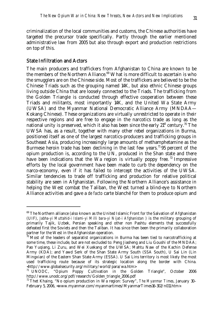criminalization of the local communities and customs, the Chinese authorities have targeted the precursor trade specifically. Partly through the earlier mentioned administrative law from 2005 but also through export and production restrictions on top of this.

#### State Infiltration and Actors

-

The main producers and traffickers from Afghanistan to China are known to be the members of the Northern Alliance. $69$  What is more difficult to ascertain is who the smugglers are on the Chinese side. Most of the traffickers are believed to be the Chinese Triads such as the grouping named 14K, but also ethnic Chinese groups living outside China that are loosely connected to the Triads. The trafficking from the Golden Triangle is conducted through effective cooperation between these Triads and militants, most importantly 14K, and the United Wa State Army (UWSA) and the Myanmar National Democratic Alliance Army (MNDAA— Kokang Chinese). These organizations are virtually unrestricted to operate in their respective regions and are free to engage in the narcotics trade as long as the national unity is preserved, which it also has been since the early  $21<sup>st</sup>$  century.<sup>70</sup> The UWSA has, as a result, together with many other rebel organizations in Burma, positioned itself as one of the largest narcotics-producers and trafficking groups in Southeast Asia, producing increasingly large amounts of methamphetamine as the Burmese heroin trade has been declining in the last few years.<sup>71</sup> 95 percent of the opium production is, according to the UN, produced in the Shan state and there have been indications that the Wa region is virtually poppy free.<sup>72</sup> Impressive efforts by the local government have been made to curb the dependency on the narco-economy, even if it has failed to intercept the activities of the UWSA. Similar tendencies to trade off trafficking and production for relative political stability are seen in Afghanistan. Following the Northern Alliance's assistance in helping the West combat the Taliban, the West turned a blind-eye to Northern Alliance activities and gave a *de facto* carte blanché for them to produce opium and

 $69$  The Northern alliance (also known as the United Islamic Front for the Salvation of Afghanistan (UIF), *Jabha-yi Muttahid-i Islami-yi Milli bara-yi Nijat-i Afghanistan* ) is the military grouping of primarily Tajik, Uzbek, Persian speaking and other non Pashtu elements that successfully defeated first the Soviets and then the Taliban. It has since then been the primarily collaboration partner for the West in the Afghanistan operation.

 $70$  Most of the leaders of separatist organizations in Burma has been tied to narcotrafficking at some time, these include, but are not excluded to: Peng Jiasheng and Liu Goushi of the MNDAA; Pao Yuqiang, Li Zuru, and Wei Xuekang of the UWSA; Mahtu Naw of the Kachin Defense Army (KDA); and Yawd Serk of the Shan State Army South (SSA South), U Sai Lin (Lin Mingxian) of the Eastern Shan State Army (ESSA). U Sai Lins territory is most likely the most used trafficking route because of its strategic location along the border with China.

<sup>-</sup>http://www.globalsecurity.org/military/world/para/wa.htm> $\frac{\pi}{n}$  UNODC. "Opium Poppy Cultivation in the Go "Opium Poppy Cultivation in the Golden Triangle", October 2006 http://www.unodc.org/pdf/research/Golden\_triangle\_2006.pdf

<sup>72</sup> Thet Khaing, "No opium production in Wa region: Survey", *The Myanmar Times*, January 30– February 5, 2006, <www.myanmar.com/myanmartimes/MyanmarTimes16-302/n011.htm>.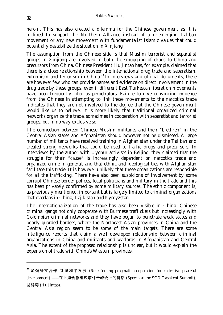heroin. This has also created a dilemma for the Chinese government as it is inclined to support the Northern Alliance instead of a re-emerging Taliban movement or any new movement with fundamentalist Islamic values that could potentially destabilize the situation in Xinjiang.

The assumption from the Chinese side is that Muslim terrorist and separatist groups in Xinjiang are involved in both the smuggling of drugs to China and precursors from China. Chinese President Hu Jintao has, for example, claimed that there is a close relationship between the international drug trade and separatism, extremism and terrorism in China.<sup>73</sup> In interviews and official documents, there are however few who can provide names and evidence on direct involvement in the drug trade by these groups, even if different East Turkestan liberation movements have been frequently cited as perpetrators. Failure to give convincing evidence from the Chinese in attempting to link these movements to the narcotics trade indicates that they are not involved to the degree that the Chinese government would like us to believe. It is more likely that traditional organized criminal networks organize the trade, sometimes in cooperation with separatist and terrorist groups, but in no way exclusive so.

The connection between Chinese Muslim militants and their "brethren" in the Central Asian states and Afghanistan should however not be dismissed. A large number of militants have received training in Afghanistan under the Taliban and created strong networks that could be used to traffic drugs and precursors. In interviews by the author with Uyghur activists in Beijing, they claimed that the struggle for their "cause" is increasingly dependent on narcotics trade and organized crime in general, and that ethnic and ideological ties with Afghanistan facilitate this trade. It is however unlikely that these organizations are responsible for all the trafficking. There have also been suspicions of involvement by some corrupt Chinese border polices, local politicians and military in the trade and this has been privately confirmed by some military sources. The ethnic component is, as previously mentioned, important but is largely limited to criminal organizations that overlaps in China, Tajikistan and Kyrgyzstan.

The internationalization of the trade has also been visible in China. Chinese criminal gangs not only cooperate with Burmese traffickers but increasingly with Colombian criminal networks and they have begun to penetrate weak states and poorly guarded borders, where the Northeast Asian provinces in China and the Central Asia region seem to be some of the main targets. There are some intelligence reports that claim a well developed relationship between criminal organizations in China and militants and warlords in Afghanistan and Central Asia. The extent of the proposed relationship is unclear, but it would explain the expansion of trade with China's Western provinces.

 $73$  加强务实合作 共谋和平发展 (Re-enforcing pragmatic cooperation for collective peaceful development) ——在上海合作组织塔什干峰会上的讲话 (Speech at the SCO Tashkent Summit), 胡锦涛 (Hu Jintao).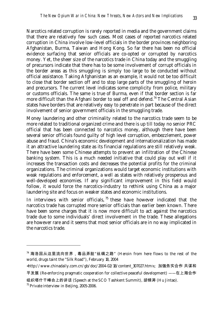Narcotics related corruption is rarely reported in media and the government claims that there are relatively few such cases. Most cases of reported narcotics related corruption in China involve low-level officials in the border provinces neighboring Afghanistan, Burma, Taiwan and Hong Kong. So far there has been no official evidence surfacing that senior officials are co-opted or corrupted by narcotics money. Yet, the sheer size of the narcotics trade in China today and the smuggling of precursors indicate that there has to be some involvement of corrupt officials in the border areas as this smuggling is simply too large to be conducted without official assistance. Taking Afghanistan as an example, it would not be too difficult to close that border section off and to stop large parts of the smuggling of heroin and precursors. The current level indicates some complicity from police, military or customs officials. The same is true of Burma, even if that border section is far more difficult than the Afghani border to seal off and defend.<sup>74</sup> The Central Asian states have borders that are relatively easy to penetrate in part because of the direct involvement of senior government officials in the smuggling trade.

Money laundering and other criminality related to the narcotics trade seem to be more related to traditional organized crime and there is up till today no senior PRC official that has been connected to narcotics money, although there have been several senior officials found guilty of high level corruption, embezzlement, power abuse and fraud. China's economic development and internationalization has made it an attractive laundering state as its financial regulations are still relatively weak. There have been some Chinese attempts to prevent an infiltration of the Chinese banking system. This is a much needed initiative that could play out well if it increases the transaction costs and decreases the potential profits for the criminal organizations. The criminal organizations would target economic institutions with weak regulations and enforcement, a well as states with relatively prosperous and well-developed economies. If any significant improvement in this field would follow, it would force the narcotics-industry to rethink using China as a major laundering site and focus on weaker states and economic institutions.

In interviews with senior officials,  $75$  these have however indicated that the narcotics trade has corrupted more senior officials than earlier been known. There have been some charges that it is now more difficult to act against the narcotics trade due to some individuals' direct involvement in the trade. These allegations are however rare and it seems that most senior officials are in no way implicated in the narcotics trade.

 $74$  海洛因从这里流向世界,毒品弄脏"丝绸之路" (Heroin from here flows to the rest of the world, drugs taint the "Silk Road"), February 18, 2004

<sup>&</sup>lt;http://www.chinadaily.com.cn/gb/doc/2004-02/18/content\_307027.htm>,; 加强务实合作 共谋和

平发展 (Re-enforcing pragmatic cooperation for collective peaceful development) ——在上海合作 组织塔什干峰会上的讲话 (Speech at the SCO Tashkent Summit), 胡锦涛 (Hu Jintao).

 $75$  Private interview in Beijing, 2005-2006.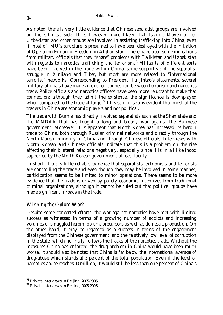As noted, there is very little evidence that Chinese separatist groups are involved on the Chinese side. It is however more likely that Islamic Movement of Uzbekistan and other groups are involved in assisting trafficking into China, even if most of IMU's structure is presumed to have been destroyed with the initiation of Operation Enduring Freedom in Afghanistan. There have been some indications from military officials that they "share" problems with Tajikistan and Uzbekistan with regards to narcotics trafficking and terrorism.<sup>76</sup> Militants of different sorts have been involved in the trade within China, some supportive of the separatist struggle in Xinjiang and Tibet, but most are more related to "international terrorist" networks. Corresponding to President Hu Jintao's statements, several military officials have made an explicit connection between terrorism and narcotics trade. Police officials and narcotics officers have been more reluctant to make that connection; although they admit the existence, the significance is downplayed when compared to the trade at large.<sup>77</sup> This said, it seems evident that most of the traders in China are economic players and not political.

The trade with Burma has directly involved separatists such as the Shan state and the MNDAA that has fought a long and bloody war against the Burmese government. Moreover, it is apparent that North Korea has increased its heroin trade to China, both through Russian criminal networks and directly through the North Korean minority in China and through Chinese officials. Interviews with North Korean and Chinese officials indicate that this is a problem on the rise affecting their bilateral relations negatively, especially since it is in all likelihood supported by the North Korean government, at least tacitly.

In short, there is little reliable evidence that separatists, extremists and terrorists are controlling the trade and even though they may be involved in some manner, participation seems to be limited to minor operations. There seems to be more evidence that the trade is driven by purely economic incentives from traditional criminal organizations, although it cannot be ruled out that political groups have made significant inroads in the trade.

#### Winning the Opium War?

Despite some concerted efforts, the war against narcotics have met with limited success as witnessed in terms of a growing number of addicts and increasing volumes of smuggled heroin, opium, precursors as well as domestic production. On the other hand, it may be regarded as a success in terms of the engagement displayed from the Chinese government, and the relatively low level of corruption in the state, which normally follows the tracks of the narcotics trade. Without the measures China has enforced, the drug problem in China would have been much worse. It should also be noted that China is far below the international average of drug-abuse which stands at 5 percent of the total population. Even if the level of narcotics abuse reaches 10 million, it would still be less than one percent of China's

<sup>&</sup>lt;sup>76</sup> Private interviews in Beijing, 2005-2006.

<sup>77</sup> Private interviews in Beijing, 2005-2006.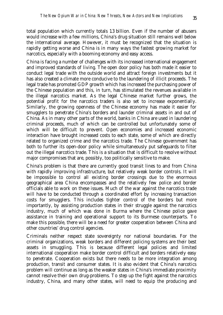total population which currently totals 1.3 billion. Even if the number of abusers would increase with a few millions, China's drug situation still remains well below the international average. However, it must be recognized that the situation is rapidly getting worse and China is in many ways the fastest growing market for narcotics, especially with a booming economy and easy access.

China is facing a number of challenges with its increased international engagement and improved standards of living. The open door policy has both made it easier to conduct legal trade with the outside world and attract foreign investments but it has also created a climate more conducive to the laundering of illicit proceeds. The legal trade has promoted GDP growth which has increased the purchasing power of the Chinese population and this, in turn, has stimulated the revenues available in the illegal narcotics market. As the legal Chinese market further grows, the potential profit for the narcotics traders is also set to increase exponentially. Similarly, the growing openness of the Chinese economy has made it easier for smugglers to penetrate China's borders and launder criminal assets in and out of China. As in many other parts of the world, banks in China are used in laundering criminal proceeds, much of which can be controlled but unfortunately some of which will be difficult to prevent. Open economies and increased economic interaction have brought increased costs to each state, some of which are directly related to organized crime and the narcotics trade. The Chinese government has both to further its open-door policy while simultaneously put safeguards to filter out the illegal narcotics trade. This is a situation that is difficult to resolve without major compromises that are, possibly, too politically sensitive to make.

China's problem is that there are currently good transit lines to and from China with rapidly improving infrastructure, but relatively weak border controls. It will be impossible to control all existing border crossings due to the enormous geographical area China encompasses and the relatively few police and border officials able to work on these issues. Much of the war against the narcotics trade will have to be conducted through a coordinated effort by increasing transaction costs for smugglers. This includes tighter control of the borders but more importantly, by assisting production states in their struggle against the narcotics industry, much of which was done in Burma where the Chinese police gave assistance in training and operational support to its Burmese counterparts. To make this possible, there will be a need for greater cooperation between China and other countries' drug control agencies.

Criminals neither respect state sovereignty nor national boundaries. For the criminal organizations, weak borders and different policing systems are their best assets in smuggling. This is because different legal policies and limited international cooperation make border control difficult and borders relatively easy to penetrate. Cooperation exists but there needs to be more integration among production, transit and consumer states. It is also evident that China's narcotics problem will continue as long as the weaker states in China's immediate proximity cannot resolve their own drug-problems. To step up the fight against the narcotics industry, China, and many other states, will need to equip the producing and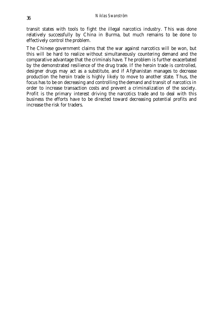transit states with tools to fight the illegal narcotics industry. This was done relatively successfully by China in Burma, but much remains to be done to effectively control the problem.

The Chinese government claims that the war against narcotics will be won, but this will be hard to realize without simultaneously countering demand and the comparative advantage that the criminals have. The problem is further exacerbated by the demonstrated resilience of the drug trade. If the heroin trade is controlled, designer drugs may act as a substitute, and if Afghanistan manages to decrease production the heroin trade is highly likely to move to another state. Thus, the focus has to be on decreasing and controlling the demand and transit of narcotics in order to increase transaction costs and prevent a criminalization of the society. Profit is the primary interest driving the narcotics trade and to deal with this business the efforts have to be directed toward decreasing potential profits and increase the risk for traders.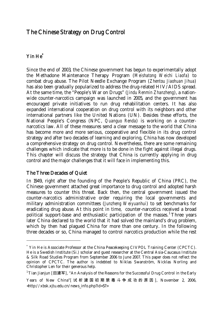# The Chinese Strategy on Drug Control

### Yin He\*

Since the end of 2003, the Chinese government has begun to experimentally adopt the Methadone Maintenance Therapy Program (*Meishatong Weichi Liaofa*) to combat drug abuse. The Pilot Needle Exchange Program (*Zhentou Jiaohuan Jihua*) has also been gradually popularized to address the drug-related HIV/AIDS spread. At the same time, the "People's War on Drugs" (*Jindu Renmin Zhanzheng*), a nationwide counter-narcotics campaign was launched in 2005, and the government has encouraged private initiatives to run drug rehabilitation centers. It has also expanded international cooperation on drug control with its neighbors and other international partners like the United Nations (UN). Besides these efforts, the National People's Congress (NPC, *Quanguo Renda*) is working on a counternarcotics law. All of these measures send a clear message to the world that China has become more and more serious, cooperative and flexible in its drug control strategy and after two decades of learning and exploring, China has now developed a comprehensive strategy on drug control. Nevertheless, there are some remaining challenges which indicate that more is to be done in the fight against illegal drugs. This chapter will discuss the strategy that China is currently applying in drug control and the major challenges that it will face in implementing this.

#### The Three Decades of Quiet

-

In 1949, right after the founding of the People's Republic of China (PRC), the Chinese government attached great importance to drug control and adopted harsh measures to counter this threat. Back then, the central government issued the counter-narcotics administrative order requiring the local governments and military administration committees (*Junzheng Weiyuanhui*) to set benchmarks for eradicating drug abuse. At this point in time, counter-narcotics received a broad political support-base and enthusiastic participation of the masses.<sup>1</sup> Three years later China declared to the world that it had solved the mainland's drug problem, which by then had plagued China for more than one century. In the following three decades or so, China managed to control narcotics production while the rest

<sup>\*</sup> Yin He is Associate Professor at the China Peacekeeping CIVPOL Training Center (CPCTC). He is a Swedish Institute (Si.) scholar and guest researcher at the Central Asia-Caucasus Institute & Silk Road Studies Program from September 2006 to June 2007. This paper does not reflect the opinion of CPCTC. The author is indebted to Niklas Swanström, Nicklas Norling and Christopher Len for their generous help.

 $^1$ Tian Jianjun [田建军], "An Analysis of the Reasons for the Successful Drug Control in the Early

Years of New China"[ 试析建国初期禁毒斗争成功的原因 ], November 2, 2006, <http://xbsk.xjtu.edu.cn/news\_info.php?id=57>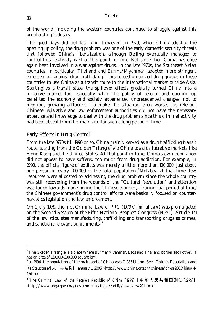of the world, including the western countries continued to struggle against this proliferating industry.

The good days did not last long, however. In 1979, when China adopted the opening up policy, the drug problem was one of the early domestic security threats that followed China's liberalization, although Beijing eventually managed to control this relatively well at this point in time. But since then China has once again been involved in a war against drugs. In the late 1970s, the Southeast Asian countries, in particular, Thailand and Burma/Myanmar, adopted more stringent enforcement against drug trafficking. This forced organized drug groups in these countries to use China as a transit route to the international market outside Asia. Starting as a transit state, the spillover effects gradually turned China into a lucrative market too, especially when the policy of reform and opening up benefited the economy and society experienced unprecedented changes, not to mention, growing affluence. To make the situation even worse, the relevant Chinese legislative and law enforcement authorities did not have the necessary expertise and knowledge to deal with the drug problem since this criminal activity had been absent from the mainland for such a long period of time.

#### Early Efforts in Drug Control

From the late 1970s till 1990 or so, China mainly served as a drug trafficking transit route, starting from the Golden Triangle<sup>2</sup> via China towards lucrative markets like Hong Kong and the United States. At that point in time, China's own population did not appear to have suffered too much from drug addiction. For example, in 1990, the official figure of addicts was merely a little more than 100,000, just about one person in every 100,000 of the total population.<sup>3</sup> Notably, at that time, few resources were allocated to addressing the drug problem since the whole country was still recovering from the wounds of the "Cultural Revolution" and attention was tuned towards modernizing the Chinese economy. During that period of time, the Chinese government's drug control efforts were basically focused on counternarcotics legislation and law enforcement.

On 1 July 1979, the first Criminal Law of PRC (*1979 Criminal Law*) was promulgated on the Second Session of the Fifth National Peoples' Congress (NPC). Article 171 of the law stipulates manufacturing, trafficking and transporting drugs as crimes, and sanctions relevant punishments. 4

 $^{2}$  The Golden Triangle is a place where Burma/Myanmar, Laos and Thailand border each other. It has an area of 150,000-200,000 square km.

 $3$  In 1994, the population of the mainland of China was 11.985 billion. See "China's Population and Its Structure"[人口与结构], January 1, 2005, <http://www.china.org.cn/chinese/ch-sz2005/biao/4- 1.htm>

<sup>4</sup> *The Criminal Law of the People's Republic of China* (1979) [ 中华人民共和国刑法 (1979)], <http://www.ahga.gov.cn//government//fagui//xf1f//low\_view20.htm>.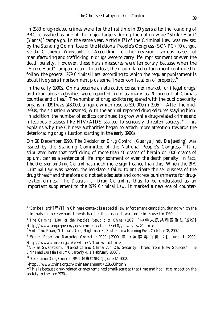In 1983, drug-related crimes were, for the first time in 30 years after the founding of PRC, classified as one of the major targets during the nation-wide "Strike Hard" (*Yanda*)<sup>5</sup> campaign. In the same year, Article 171 of the Criminal Law was revised by the Standing Committee of the National People's Congress (SCNPC) (*Quanguo Renda Changwu Weiyuanhui*). According to the revision, serious cases of manufacturing and trafficking in drugs were to carry life imprisonment or even the death penalty. However, these harsh measures were temporary because when the "Strike Hard" campaign came to a close, the drug-related enforcement continued to follow the general *1979 Criminal Law,* according to which the regular punishment is about five years imprisonment plus some fine or confiscation of property. $^6$ 

In the early 1990s, China became an attractive consumer market for illegal drugs, and drug abuse activities were reported from as many as 70 percent of China's counties and cities.<sup>7</sup> The number of drug addicts registered with the public security organs in 1991 was 148,000, a figure which rose to  $520,000$  in 1995.<sup>8</sup> After the mid-1990s, the situation worsened, with the annual reported drug seizures staying high. In addition, the number of addicts continued to grow while drug-related crimes and infectious diseases like HIV/AIDS started to seriously threaten society.  $9$  This explains why the Chinese authorities began to attach more attention towards the deteriorating drug situation starting in the early 1990s.

On 28 December 1990, *The Decision on Drug Control* (*Guanyu Jindu De Jueding*) was issued by the Standing Committee of the National People's Congress.<sup>10</sup> It is stipulated here that trafficking of more than 50 grams of heroin or 1000 grams of opium, carries a sentence of life imprisonment or even the death penalty. In fact, *The Decision on Drug Control* has much more significance than this. When the *1979 Criminal Law* was passed, the legislators failed to anticipate the seriousness of the drug threat<sup>11</sup> and therefore did not set adequate and concrete punishments for drugrelated crimes. The *Decision on Drug Control* is thus to be understood as an important supplement to the *1979 Criminal Law*. It marked a new era of counter-

<sup>&</sup>lt;sup>5</sup> "Strike Hard" [严打] in Chinese context is a special law enforcement campaign, during which the criminals can receive punishments harsher than usual. It was sometimes used in 1980s.

<sup>6</sup> *The Criminal Law of the People's Republic of China (1979)* [ 中华人民共和国刑法 (1979)] <http://www.ahga.gov.cn//government//fagui//xf1f//low\_view20.htm>*.* <sup>7</sup>

Anh-Thu Phan, "China's Drug Nightmare", *South China Morning Post*, October 18, 2002.

<sup>8</sup> *White Paper on Narcotics Control* : *2000* [2000 年中国禁毒白皮书 ], June 1, 2000, <http://www.china.org.cn/e-white/1/1.foreword.htm>

<sup>9</sup> Niklas Swanström, "Narcotics and China: An Old Security Threat from New Sources", *The China and Eurasia Forum Quarterly* 4, 1 (February 2006).

<sup>10</sup> *Decision on Drug Control* [关于禁毒的决定], June 12, 2002,

 <sup>&</sup>lt;http://www.china.org.cn/chinese/zhuanti/158603.htm>.

 $11$  This is because drug-related crimes remained small-scale at that time and had little impact on the society in the late 1970s.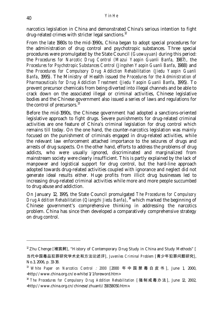narcotics legislation in China and demonstrated China's serious intention to fight drug-related crimes with stricter legal sanctions.<sup>12</sup>

From the late 1980s to the mid-1990s, China began to adopt special procedures for the administration of drug control and psychotropic substances. Three special procedures were promulgated by the State Council (*Guowuyuan*) during this period: the *Procedures for Narcotic Drug Control (Mazui Yaopin Guanli Banfa,* 1987*)*, the *Procedures for Psychotropic Substances Control* (*Jingshen Yaopin Guanli Banfa*, 1988) and the *Procedures for Compulsory Drug Addiction Rehabilitation* (*Jiedu Yaopin Guanli Banfa*, 1995). The Ministry of Health issued *the Procedures for the Administration of Pharmaceuticals for Drug Addiction Treatment* (*Jiedu Yaopin Guanli Banfa*, 1995). To prevent precursor chemicals from being diverted into illegal channels and be able to crack down on the associated illegal or criminal activities, Chinese legislative bodies and the Chinese government also issued a series of laws and regulations for the control of precursors. $^{13}$ Ì.

Before the mid-1990s, the Chinese government had adopted a sanctions-oriented legislative approach to fight drugs. Severe punishments for drug-related criminal activities are one feature of China's criminal legislation for drug control which remains till today. On the one hand, the counter-narcotics legislation was mainly focused on the punishment of criminals engaged in drug-related activities, while the relevant law enforcement attached importance to the seizures of drugs and arrests of drug suspects. On the other hand, efforts to address the problems of drug addicts, who were usually ignored, discriminated and marginalized from mainstream society were clearly insufficient. This is partly explained by the lack of manpower and logistical support for drug control, but the hard-line approach adopted towards drug-related activities coupled with ignorance and neglect did not generate ideal results either. Huge profits from illicit drug businesses led to increasing drug-related criminal activities while more and more people succumbed to drug abuse and addiction.

On January 12, 1995, the State Council promulgated *The Procedures for Compulsory Drug Addition Rehabilitation* (*Qiangzhi Jiedu Banfa*), 14 which marked the beginning of Chinese government's comprehensive thinking in addressing the narcotics problem. China has since then developed a comparatively comprehensive strategy on drug control.

 $12$  Zhu Chenge [褚宸舸], "History of Contemporary Drug Study in China and Study Methods" [

当代中国毒品犯罪研究学术史和方法论述评], *Juveniles Criminal Problem* [青少年犯罪问题研究], No.3, 2006, p. 33-38.

<sup>13</sup> *White Paper on Narcotics Control* : *2000* [2000 年中国禁毒白皮书 ], June 1, 2000, <http://www.china.org.cn/e-white/1/1.foreword.htm>

<sup>&</sup>lt;sup>14</sup> The Procedures for Compulsory Drug Addition Rehabilitation [强制戒毒办法], June 12, 2002, <http://www.china.org.cn/chinese/zhuanti/158158050.htm>.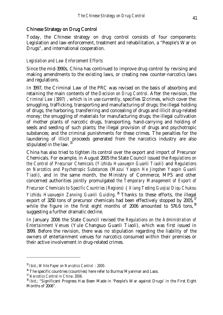#### Chinese Strategy on Drug Control

Today, the Chinese strategy on drug control consists of four components: Legislation and law-enforcement, treatment and rehabilitation, a "People's War on Drugs", and international cooperation.

#### *Legislation and Law Enforcement Efforts*

Since the mid-1990s, China has continued to improve drug control by revising and making amendments to the existing laws, or creating new counter-narcotics laws and regulations.

In 1997, the Criminal Law of the PRC was revised on the basis of absorbing and retaining the main contents of the *Decision on Drug Control*. After the revision, the *Criminal Law (1997)* , which is in use currently, specifies 12 crimes, which cover the: smuggling, trafficking, transporting and manufacturing of drugs; the illegal holding of drugs, the harboring, transferring and concealing of drugs and illicit drug-related money; the smuggling of materials for manufacturing drugs; the illegal cultivation of mother plants of narcotic drugs, transporting, hand-carrying and holding of seeds and seeding of such plants; the illegal provision of drugs and psychotropic substances; and the criminal punishments for these crimes. The penalties for the laundering of illicit proceeds generated from the narcotics industry are also stipulated in the law.  $15$ 

China has also tried to tighten its control over the export and import of Precursor Chemicals. For example, in August 2005 the State Council issued the *Regulations on the Control of Precursor Chemicals* (*Yizhidu Huaxuepin Guanli Tiaoli*) and *Regulations on Narcotics and Psychotropic Substances* (*Mazui Yaopin He Jingshen Yaopin Guanli Tiaoli*), and in the same month, the Ministry of Commerce, MPS and other concerned authorities jointly promulgated *the Temporary Management of Export of* 

*Precursor Chemicals to Specific Countries (Regions)*(*Xiang Teding Guojia/Diqu Chukou*  Yizhidu Huaxuepin Zanxing Guanli Guiding.<sup>16</sup> Thanks to these efforts, the illegal export of 3250 tons of precursor chemicals had been effectively stopped by 2005,<sup>17</sup> while the figure in the first eight months of 2006 amounted to 576.6 tons, <sup>18</sup> suggesting a further dramatic decline.

In January 2006 the State Council revised the *Regulations on the Administration of Entertainment Venues* (Yule Changsuo Guanli Tiaoli)*,* which was first issued in 1999. Before the revision, there was no stipulation regarding the liability of the owners of entertainment venues for narcotics consumed within their premises or their active involvement in drug-related crimes.

<sup>&</sup>lt;sup>15</sup> *Ibid.*; *White Paper on Narcotics Control : 2000*.<br><sup>16</sup> The specific countries (countries) here refer to Burma/Myanmar and Laos.

<sup>17</sup> *Narcotics Control in China: 2006.*

<sup>&</sup>lt;sup>18</sup> *Ibid.*; "Significant Progress Has Been Made in 'People's War against Drugs' in the First Eight Months of 2006".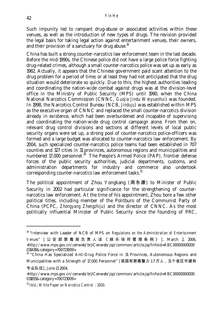Such impunity led to rampant drug-abuse or associated activities within these venues, as well as the introduction of new types of drugs. The revision provided the legal basis for taking legal action against entertainment venues, their owners, and their provision of a sanctuary for drug abuse.<sup>19</sup>

China has built a strong counter-narcotics law enforcement team in the last decade. Before the mid-1990s, the Chinese police did not have a large police force fighting drug-related crimes, although a small counter-narcotics police was set up as early as 1982. Actually, it appears that the Chinese government paid scant attention to the drug problem for a period of time; or at least they had not anticipated that the drug situation would deteriorate so quickly. Due to this, the highest authorities leading and coordinating the nation-wide combat against drugs was at the division-level office in the Ministry of Public Security (MPS) until 1990, when the China National Narcotics Commission (CNNC, *Guojia Jindu Weiyuanhui*) was founded. In 1998, the Narcotics Control Bureau (NCB, *Jinduju*) was established within MPS as the executive organ of CNNC and replaced the small counter-narcotics division already in existence, which had been overburdened and incapable of supervising and coordinating the nation-wide drug control campaign alone. From then on, relevant drug control divisions and sections at different levels of local public security organs were set up, a strong pool of counter-narcotics police-officers was formed and a large budget was allocated to counter-narcotics law enforcement. By 2004, such specialized counter-narcotics police teams had been established in 707 counties and 327 cities in 31 provinces, autonomous regions and municipalities and numbered 17,000 personnel.<sup>20</sup> The People's Armed Police (PAP), frontier defense forces of the public security authorities, judicial departments, customs, and administration departments for industry and commerce also undertook corresponding counter-narcotics law enforcement tasks.<sup>21</sup>

The political appointment of Zhou Yongkang (周永康) to Minister of Public Security in 2002 had particular significance for the strengthening of counternarcotics law enforcement. At the time of his appointment, Zhou bore a few other political titles, including member of the Politburo of the Communist Party of China (PCPC, *Zhongyang Zhengzhiju*) and the director of CNNC. As the most politically influential Minister of Public Security since the founding of PRC,

<sup>&</sup>lt;sup>19</sup> "Interview with Leader of NCB of MPS on *Regulations on the Administration of Entertainment Venues*" [ 公安部禁毒局负责人谈《娱乐场所管理条例》 ], March 2, 2006, <http://www.mps.gov.cn/cenweb/brjlCenweb/jsp/common/article.jsp?infoid=ABC00000000000 031439&category=700723009>.

<sup>&</sup>lt;sup>20</sup> "China Has Specialized Anti-Drug Police Force in 31 Provinces, Autonomous Regions and Municipalities with a Strength of 17,000 Personnel" [我国有禁毒警力 1.7 万人, 31 个省区市建有

专业队伍], June 21 2004,

<sup>&</sup>lt;http://www.mps.gov.cn/cenweb/brjlCenweb/jsp/common/article.jsp?infoid=ABC00000000000 031855&category=700723009>.

<sup>21</sup> *Ibid*.; *White Paper on Narcotics Control*:*2000*.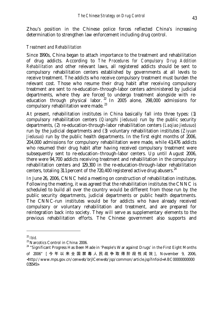Zhou's position in the Chinese police forces reflected China's increasing determination to strengthen law enforcement including drug control.

#### *Treatment and Rehabilitation*

Since 1990s, China began to attach importance to the treatment and rehabilitation of drug addicts. According to *The Procedures for Compulsory Drug Addition Rehabilitation* and other relevant laws, all registered addicts should be sent to compulsory rehabilitation centers established by governments at all levels to receive treatment. The addicts who receive compulsory treatment must burden the relevant cost. Those who resume their drug habit after receiving compulsory treatment are sent to re-education–through-labor centers administered by judicial departments, where they are forced to undergo treatment alongside with reeducation through physical labor. <sup>22</sup> In 2005 alone, 298,000 admissions for compulsory rehabilitation were made.<sup>23</sup>

At present, rehabilitation institutes in China basically fall into three types: (1) compulsory rehabilitation centers (*Qiangzhi Jiedusuo*) run by the public security departments, (2) re-education-through-labor rehabilitation centers (*Laojiao jiedusuo*) run by the judicial departments and (3) voluntary rehabilitation institutes (*Ziyuan Jiedusuo*) run by the public health departments. In the first eight months of 2006, 204,000 admissions for compulsory rehabilitation were made, while 43,476 addicts who resumed their drug habit after having received compulsory treatment were subsequently sent to re-education–through-labor centers. Up until August 2006, there were 94,700 addicts receiving treatment and rehabilitation in the compulsory rehabilitation centers and 129,300 in the re-education-through-labor rehabilitation centers, totaling 31.1 percent of the  $720,400$  registered active drug abusers.<sup>24</sup>

In June 26, 2006, CNNC held a meeting on construction of rehabilitation institutes. Following the meeting, it was agreed that the rehabilitation institutes the CNNC is scheduled to build all over the country would be different from those run by the public security departments, judicial departments or public health departments. The CNNC-run institutes would be for addicts who have already received compulsory or voluntary rehabilitation and treatment, and are prepared for reintegration back into society. They will serve as supplementary elements to the previous rehabilitation efforts. The Chinese government also supports and

<sup>22</sup> *Ibid.*

<sup>&</sup>lt;sup>23</sup> Narcotics Control in China: 2006.

 $24$  "Significant Progress Has Been Made in 'People's War against Drugs' in the First Eight Months of 2006" [ 今年以来全国禁毒人民战争取得阶段性成效 ], November 9, 2006, <http://www.mps.gov.cn/cenweb/brjlCenweb/jsp/common/article.jsp?infoid=ABC00000000000 035545>.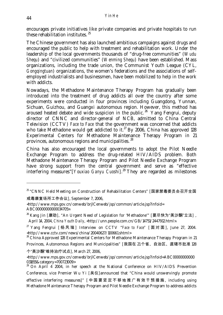encourages private initiatives like private companies and private hospitals to run these rehabilitation institutes.<sup>25</sup>

The Chinese government has also launched ambitious campaigns against drugs and encouraged the public to help with treatment and rehabilitation work. Under the leadership of the local governments thousands of "drug-free communities" (*Wudu Shequ*) and "civilized communities" (*Wenming Shequ*) have been established. Mass organizations, including the trade union, the Communist Youth League (CYL, *Gongqingtuan*) organizations, the women's federations and the associations of selfemployed industrialists and businessmen, have been mobilized to help in the work with addicts.

Nowadays, the Methadone Maintenance Therapy Program has gradually been introduced into the treatment of drug addicts all over the country after some experiments were conducted in four provinces including Guangdong, Yunnan, Sichuan, Guizhou, and Guangxi autonomous region. However, this method has aroused heated debate and wide suspicion in the public.<sup>26</sup> Yang Fengrui, deputy director of CNNC and director-general of NCB, admitted to China Central Television (CCTV) *Face to Face* that the government was concerned that addicts who take Methadone would get addicted to it.<sup>27</sup> By 2006, China has approved 128 Experimental Centers for Methadone Maintenance Therapy Program in 21 provinces, autonomous regions and municipalities. 28

China has also encouraged the local governments to adopt the Pilot Needle Exchange Program to address the drug-related HIV/AIDS problem. Both Methadone Maintenance Therapy Program and Pilot Needle Exchange Program have strong support from the central government and serve as "effective interfering measures"[*Youxiao Ganyu Cuoshi*].29 They are regarded as milestones

<sup>&</sup>lt;sup>25</sup> "CNNC Held Meeting on Construction of Rehabilitation Centers" [国家禁毒委员会召开全国 戒毒康复场所工作会议], September 7, 2006,

<sup>&</sup>lt;http://www.mps.gov.cn/cenweb/brjlCenweb/jsp/common/article.jsp?infoid= ABC00000000000034705>.

<sup>&</sup>lt;sup>26</sup> Kang Jin [康劲], "An Urgent Need of Legislation for 'Methadone'" [要尽快为"美沙酮"立法] , April 14, 2004, *China Youth Daily*, <http://unn.people.com.cn/GB/14751/2447912.html>.

<sup>27</sup> Yang Fengrui [ 杨凤瑞 ] Interview on CCTV "*Face to Face"* [ 面对面 ], June 27, 2004. <http://www.cctv.com/news/china/20040627/100661.shtml>

 $28$  China Approved 128 Experimental Centers for Methadone Maintenance Therapy Program in 21 Provinces, Autonomous Regions and Municipalities" [我国在 21 个省、自治区、直辖市批准 128

个"美沙酮"维持治疗试点], March 27, 2006,

<sup>&</sup>lt;http://www.mps.gov.cn/cenweb/brjlCenweb/jsp/common/article.jsp?infoid=ABC00000000000 031855&category=700723009>

<sup>&</sup>lt;sup>29</sup> On April  $4^{\degree}$  2004, in her speech at the National Conference on HIV/AIDS Prevention Conference, vice Premier Wu Yi [吴仪]announced that "China would unswervingly promote effective interfering measures]" [ 中国要坚定不移地推广有效干预措施, including using Methadone Maintenance Therapy Program and Pilot Needle Exchange Program to address addicts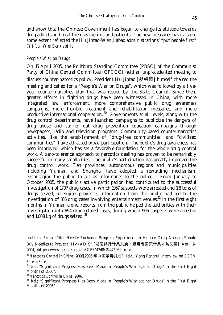and show that the Chinese Government has begun to change its attitude towards drug addicts and treat them as victims and patients. The new measures have also to some extent reflected the Hu Jintao-Wen Jiabao administrations' "put people first" (*Yi Ren Wei Ben*) spirit.

#### *People's War on Drugs*

On 15 April 2005, the Politburo Standing Committee (PBSC) of the Communist Party of China Central Committee (CPCCC) held an unprecedented meeting to discuss counter-narcotics policy. President Hu Jintao [胡锦涛] himself chaired the meeting and called for a "People's War on Drugs", which was followed by a fiveyear counter-narcotics plan that was issued by the State Council. Since then, greater efforts in fighting drugs have been witnessed in China, with more integrated law enforcement, more comprehensive public drug awareness campaigns, more flexible treatment and rehabilitation measures, and more productive international cooperation.  $30$  Governments at all levels, along with the drug control departments, have launched campaigns to publicize the dangers of drug abuse and carried out drug prevention education campaigns through newspapers, radio and television programs. Community-based counter-narcotics activities, like the establishment of "drug-free communities" and "civilized communities", have attracted broad participation. The public's drug awareness has been improved, which has set a favorable foundation for the whole drug control work. A zero-tolerance approach to narcotics dealing has proven to be remarkably successful in many small cities. The public's participation has greatly improved the drug control work. Ten provinces, autonomous regions and municipalities including Yunnan and Shanghai have adopted a rewarding mechanism, encouraging the public to act as informants to the police. $31$  From January to October 2005, the public's active participation had contributed to the successful investigation of 1707 drug cases, in which 1957 suspects were arrested and 1.8 tons of drugs seized; in Fujian province, information from the public had led to the investigation of 105 drug cases involving entertainment venues.<sup>32</sup> In the first eight months in Yunnan alone, reports from the public helped the authorities with their investigation into 694 drug-related cases, during which 906 suspects were arrested and 1,008 kg of drugs seized. 33

problem. From "Pilot Needle Exchange Program Experiment in Hunan: Drug Abusers Should Buy Needles to Prevent HIV/ADIS" [湖南试行针具交换:吸毒者需买针具以防艾滋], April 14, 2004, <http://www.people.com.cn/GB/14748/2447696.html>.

<sup>30</sup> *Narcotics Control in China*: 2006[2006 年中国禁毒报告]; *Ibid*.; Yang Fengrui Interview on *CCTV Face to Face.*

<sup>31</sup> *Ibid*.; "Significant Progress Has Been Made in 'People's War against Drugs' in the First Eight Months of 2006".

<sup>32</sup> *Narcotics Control in China: 2006.*

<sup>33</sup> *Ibid*.; "Significant Progress Has Been Made in 'People's War against Drugs' in the First Eight Months of 2006".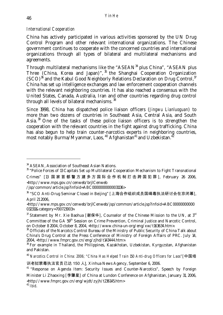#### *International Cooperation*

China has actively participated in various activities sponsored by the UN Drug Control Program and other relevant international organizations. The Chinese government continues to cooperate with the concerned countries and international organizations through all types of bilateral and multilateral mechanisms and agreements.

Through multilateral mechanisms like the " $ASEAN<sup>34</sup>$  plus China", " $ASEAN$  plus Three (China, Korea and Japan)", <sup>35</sup> the Shanghai Cooperation Organization  $(SCO)^{36}$  and the Kabul Good Neighborly Relations Declaration on Drug Control,  $37$ China has set up intelligence exchanges and law enforcement cooperation channels with the relevant neighboring countries. It has also reached a consensus with the United States, Canada, Australia, Iran and other countries regarding drug control through all levels of bilateral mechanisms. 38

Since 1998, China has dispatched police liaison officers (*Jingwu Lianluoguan*) to more than two dozens of countries in Southeast Asia, Central Asia, and South Asia.  $39$  One of the tasks of these police liaison officers is to strengthen the cooperation with the relevant countries in the fight against drug trafficking. China has also begun to help train counter-narcotics experts in neighboring countries, most notably Burma/Myanmar, Laos,  $40$  Afghanistan<sup>41</sup> and Uzbekistan.<sup>42</sup>

<sup>&</sup>lt;sup>34</sup> ASEAN, Association of Southeast Asian Nations.

<sup>&</sup>lt;sup>35</sup> "Police Forces of 13 Capitals Set up Multilateral Cooperation Mechanism to Fight Transnational Crimes" [13 国家首都警方建多方国际合作机制打击跨国犯罪 ], February 26 2006, <http://www.mps.gov.cn/cenweb/brjlCenweb

 $/jsp/common/article.jpg?infoid=ABC0000000000031136>$ 

<sup>36 &</sup>quot;SCO Anti-Drug Seminar Closed in Beijing" [上海合作组织成员国缉毒执法研讨会在京闭幕], April 21 2006,

<sup>&</sup>lt;http://www.mps.gov.cn/cenweb/brjlCenweb/jsp/common/article.jsp?infoid=ABC00000000000 032311&category=700723003>.

 $37$  Statement by Mr. Xie Baohua [谢保华], Counselor of the Chinese Mission to the UN, at  $3^{\text{rd}}$ Committee of the GA 59<sup>th</sup> Session on Crime Prevention, Criminal Justice and Narcotic Control, on October 8 2004, October 8, 2004, <http://www.china-un-org/eng/xw/t163634.htm>.

<sup>&</sup>lt;sup>38</sup> Officials of the Narcotcs Control Bureau of the Ministry of Public Security of China Talk about China's Drug Control at the Press Conference of Ministry of Foreign Affairs of PRC. July 14, 2004, <http://www.fmprc.gov.cn/eng/zjhd/t143444.htm>.

<sup>39</sup> For example in Thailand, the Philippines, Kazakhstan, Uzbekistan, Kyrgyzstan, Afghanistan and Pakistan.

<sup>40</sup> *Narcotics Control in China: 2006; "China Has Helped Train 150 Anti-drug Officers for Laos"*[中国培 训老挝禁毒执法官员已达 150 人], Xinhua News Agency, September 6, 2006.

<sup>&</sup>lt;sup>41</sup> "Response on Agenda Item: Security Issues and Counter-Narcotics", Speech by Foreign Minister Li Zhaoxing [李肇星] of China at Lundon Conference on Afghanistan, January 31, 2006, <http://www.fmprc.gov.cn/eng/wjdt/zyjh/t236145.htm>

 $42$  *Ibid.*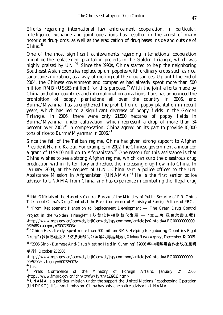Efforts regarding international law enforcement cooperation, in particular, intelligence exchange and joint operations has resulted in the arrest of many notorious drug-lords, as well as the eradication of drug bases inside and outside of  $China.<sup>43</sup>$ 

One of the most significant achievements regarding international cooperation might be the replacement plantation projects in the Golden Triangle, which was highly praised by  $UN<sup>44</sup>$  Since the 1990s, China started to help the neighboring Southeast Asian countries replace opium poppies with ordinary crops such as rice, sugarcane and rubber, as a way of rooting out the drug sources*.* Up until the end of 2004, the Chinese government and companies had already spent more than 500 million RMB (US\$63 million) for this purpose.  $45$  With the joint efforts made by China and other countries and international organizations, Laos has announced the prohibition of poppy plantations all over the country in 2006, and Burma/Myanmar has strengthened the prohibition of poppy plantation in recent years, which has led to a significant decrease of poppy fields in the Golden Triangle. In 2006, there were only 21,500 hectares of poppy fields in Burma/Myanmar under cultivation, which represent a drop of more than 34 percent over 2005.46 In compensation, China agreed on its part to provide 10,000 tons of rice to Burma/Myanmar in 2006.<sup>47</sup>

Since the fall of the Taliban regime, China has given strong support to Afghan President Hamid Karzai. For example, in 2002, the Chinese government announced a grant of US\$150 million to Afghanistan.<sup>48</sup> One reason for this assistance is that China wishes to see a strong Afghan regime, which can curb the disastrous drug production within its territory and reduce the increasing drug-flow into China. In January 2004, at the request of U.N., China sent a police officer to the UN Assistance Mission in Afghanistan (UNAMA).<sup>49</sup> He is the first senior police advisor to UNAMA from China, and has experience in combating the illegal drug

<sup>44</sup> "From Replacement Plantation to Replacement Development — The Green Drug Control

<sup>&</sup>lt;sup>43</sup> *Ibid*. Officials of the Narcotcs Control Bureau of the Ministry of Public Security of P.R. China Talk about China's Drug Control at the Press Conference of Ministry of Foreign Affairs of PRC.

Project in the 'Golden Triangle'" [从替代种植到替代发展 — "金三角"绿色禁毒工程], <http://www.mps.gov.cn/cenweb/brjlCenweb/jsp/common/article.jsp?infoid=ABC00000000000 031548&category=700723003>

<sup>&</sup>lt;sup>45</sup> "China Has already Spent more than 500 million RMB Helping Neighboring Countries Fight Drugs" (我国已经投入 5 亿多元帮助邻国解决毒品问题), *Xinhua News Agency*, December 12, 2005.

<sup>46 &</sup>quot;2006 Sino - Burmese Anti-Drug Meeting Held in Kunming" [2006 年中缅禁毒合作会议在昆明

举行], October 23 2006,

<sup>&</sup>lt;http://www.mps.gov.cn/cenweb/brjlCenweb/jsp/common/article.jsp?infoid=ABC0000000000 0035290&category=700723003>.<br><sup>47</sup> *Ibid.* 

<sup>&</sup>lt;sup>47</sup> *Ibid.*<br><sup>48</sup> Press Conference of the Ministry of Foreign Affairs, January 24, 2006, <http://www.fmprc.gov.cn/chn/xwfw/fyrth/t232610.htm>

 $49$  UNAMA is a political mission under the support the United Nations Peacekeeping Operation (UNDPKO). It's a small mission. China has only one police advisor in UNAMA.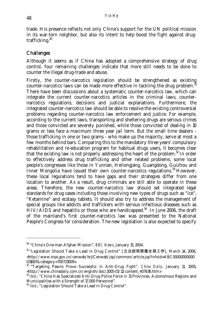trade. His presence reflects not only China's support for the UN political mission in its war-torn neighbor, but also its intent to help boost the fight against drugtrafficking. $50$ 

#### **Challenges**

Although it seems as if China has adopted a comprehensive strategy of drug control, four remaining challenges indicate that more still needs to be done to counter the illegal drug-trade and abuse.

Firstly, the counter-narcotics legislation should be strengthened as existing counter-narcotics laws can be made more effective in tackling the drug problem. $^{51}$ There have been discussions about a systematic counter-narcotics law, which can integrate the current counter-narcotics articles in the criminal laws, counternarcotics regulations, decisions and judicial explanations. Furthermore, the integrated counter-narcotics law should be able to resolve the existing controversial problems regarding counter-narcotics law enforcement and justice. For example, according to the current laws, transporting and sheltering drugs are serious crimes and those convicted are severely punished, while those convicted of dealing in 10 grams or less face a maximum three year jail term. But the small time dealers those trafficking in one or two grams - who make up the majority, serve at most a few months behind bars. Comparing this to the mandatory three years' compulsory rehabilitation and re-education program for habitual drugs users, it becomes clear that the existing law is not properly addressing the heart of the problem.<sup>52</sup> In order to effectively address drug trafficking and other related problems, some local people's congresses like those in Yunnan, Heilongjang, Guangdong, Guizhou and Inner Mongolia have issued their own counter-narcotics regulations.<sup>53</sup> However, these local regulations tend to have gaps and their strategies differ from one location to another. As a result, drug criminals are still able to operate in these areas. Therefore, the new counter-narcotics law should set integrated legal standards for drug cases including those involving new types of drugs such as "ice", "Ketamine" and ecstasy tablets. It should also try to address the management of special groups like addicts and traffickers with serious infectious diseases such as  $\text{HIV/AIDS}$  and hepatitis or those who are handicapped.<sup>54</sup> In June 2006, the draft of the mainland's first counter-narcotics law was presented to the National People's Congress for consideration. The new legislation is also expected to specify

<sup>50 &</sup>quot;China's One-man Afghan Mission", *BBC News*, January 15, 2004.

<sup>&</sup>lt;sup>51</sup> "Legislation Should Take a Lead in Drug Control" [立法统领禁毒全局工作], March 14, 2006, <http://www.mps.gov.cn/cenweb/brjlCenweb/jsp/common/article.jsp?infoid=ABC00000000000 031687&category=700723009>.

<sup>&</sup>lt;sup>52</sup> "Targeting Pawns Prove Successful in Anti-Drug Fight", *China Daily*, January 11, 2005, <http://www.chinadaily.com.cn/english/doc/2005-01/11/content\_407636.htm>.

<sup>&</sup>lt;sup>53</sup> *Ibid.*; "China Has Specialized Anti-Drug Police Force in 31 Provinces, Autonomous Regions and Municipalities with a Strength of 17,000 Personnel".

<sup>&</sup>lt;sup>54</sup> *Ibid*: "Legislation Should Take a Lead in Drug Control".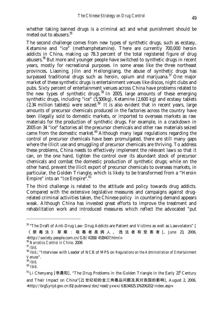whether taking banned drugs is a criminal act and what punishment should be meted out to abusers.<sup>55</sup>

The second challenge comes from new types of synthetic drugs, such as ecstasy, Ketamine and "ice" (methamphetamine). There are currently 700,000 heroin addicts in China, making up 78.3 percent of the total registered figure of drug abusers.<sup>56</sup> But more and younger people have switched to synthetic drugs in recent years, mostly for recreational purposes. In some areas like the three northeast provinces, Liaoning, Jilin and Heilongjiang, the abuse of synthetic drugs has surpassed traditional drugs such as heroin, opium and marijuana.<sup>57</sup> One major market of these synthetic drugs is entertainment venues like discos, night clubs and pubs. Sixty percent of entertainment venues across China have problems related to the new types of synthetic drugs.<sup>58</sup> In 2005, large amounts of these emerging synthetic drugs, including "ice" (5,500kg), Ketamine (2,600 kg) and ecstasy tablets  $(2.34$  million tablets) were seized.<sup>59</sup> It is also evident that in recent years, large amounts of precursor chemicals produced in the factories across the country have been illegally sold to domestic markets, or imported to overseas markets as raw materials for the production of synthetic drugs. For example, in a crackdown in 2005 on 34 "ice" factories all the precursor chemicals and other raw materials seized came from the domestic market. $60$  Although many legal regulations regarding the control of precursor chemicals have been promulgated, there are still many gaps where the illicit use and smuggling of precursor chemicals are thriving. To address these problems, China needs to effectively implement the relevant laws so that it can, on the one hand, tighten the control over its abundant stock of precursor chemicals and combat the domestic production of synthetic drugs; while on the other hand, prevent the illicit export of precursor chemicals to overseas markets, in particular, the Golden Triangle, which is likely to be transformed from a "Heroin Empire" into an "Ice Empire".<sup>61</sup>

The third challenge is related to the attitude and policy towards drug addicts. Compared with the extensive legislative measures and campaigns against drugrelated criminal activities taken, the Chinese policy in countering demand appears weak. Although China has invested great efforts to improve the treatment and rehabilitation work and introduced measures which reflect the advocated "put

<http://society.people.com.cn/GB/41158/4519407.html>.

<sup>&</sup>lt;sup>55</sup> "The Draft of Anti-Drug Law: Drug Addicts are Patient and Victims as well as Lawvolators" [ 《禁毒法》草案:吸毒者是病人、违法者和受害者 ], June 23, 2006,

<sup>56</sup> *Narcotics Control in China:* 2006

<sup>&</sup>lt;sup>58</sup> *Ibid.*; "Interview with Leader of NCB of MPS on *Regulations on the Administration of Entertainment Venues*".

<sup>59</sup> *Ibid*. 60 *Ibid*.

 $61$  Li Chenyang [李晨阳], "The Drug Problems in the Golden Triangle in the Early  $21<sup>st</sup>$  Century and Their Impact on China"[21 世纪初的金三角毒品问题及其对我国的影响], August 2, 2006, <http://big5.ynjd.gov.cn:81/pubnews/doc/read/yxwx/63634825.176206202/index.asp>.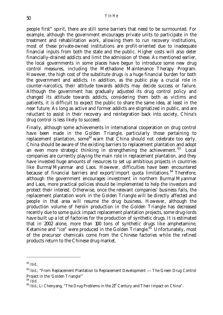people first" spirit, there are still some barriers that need to be surmounted. For example, although the government encourages private units to participate in the treatment and rehabilitation work, allowing them to run recovery institutions, most of these private-owned institutions are profit-oriented due to inadequate financial inputs from both the state and the public. Higher costs will also deter financially-drained addicts and limit the admission of these. As mentioned earlier, the local governments in some places have begun to introduce some new drug control measures, including the Methadone Maintenance Therapy Program. However, the high cost of the substitute drugs is a huge financial burden for both the government and addicts. In addition, as the public play a crucial role in counter-narcotics, their attitude towards addicts may decide success or failure. Although the government has gradually adjusted its drug control policy and changed its attitude towards addicts, considering them both as victims and patients, it is difficult to expect the public to share the same idea, at least in the near future. As long as active and former addicts are stigmatized in public, and are reluctant to assist in their recovery and reintegration back into society, China's drug control is less likely to succeed.

Finally, although some achievements in international cooperation on drug control have been made in the Golden Triangle, particularly those pertaining to replacement plantation, some<sup>62</sup> warn that China should not celebrate too early. China should be aware of the existing barriers to replacement plantation and adopt an even more strategic thinking in strengthening the achievement.<sup>63</sup> Local companies are currently playing the main role in replacement plantation, and they have invested huge amounts of resources to set up ambitious projects in countries like Burma/Myanmar and Laos. However, difficulties have been encountered because of financial barriers and export/import quota limitations.  $64$  Therefore, although the government encourages investment in northern Burma/Myanmar and Laos, more practical policies should be implemented to help the investors and protect their interest. Otherwise, once the relevant companies' business fails, the replacement plantation work in the Golden Triangle will be directly affected and people in that area will resume the drug business. However, although the production volume of heroin production in the Golden Triangle has decreased recently due to some quick impact replacement plantation projects, some drug-lords have built up a lot of factories for the production of synthetic drugs. It is estimated that in 2002 alone, more than 100 tons of synthetic drugs like amphetamine, Ketamine and "ice" were produced in the Golden Triangle.<sup>65</sup> Unfortunately, most of the precursor chemicals come from the Chinese factories while the refined products return to the Chinese drug market.

<sup>62</sup> *Ibid.*.

<sup>&</sup>lt;sup>63</sup> *Ibid.*; "From Replacement Plantation to Replacement Development — The Green Drug Control Project in the 'Golden Triangle'"<br><sup>64</sup> *Ihid* 

<sup>&</sup>lt;sup>65</sup> *Ibid*.; Li Chenyang, "The Drug Problems in the 21<sup>st</sup> Century and Their Impact on China".